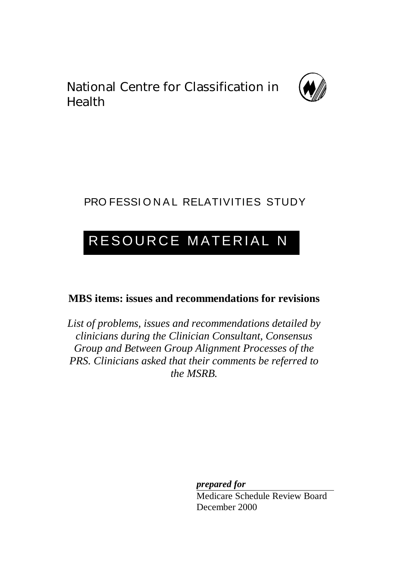National Centre for Classification in Health



# PRO FESSIONAL RELATIVITIES STUDY

# RESOURCE MATERIAL N

## **MBS items: issues and recommendations for revisions**

*List of problems, issues and recommendations detailed by clinicians during the Clinician Consultant, Consensus Group and Between Group Alignment Processes of the PRS. Clinicians asked that their comments be referred to the MSRB.*

> *prepared for* Medicare Schedule Review Board December 2000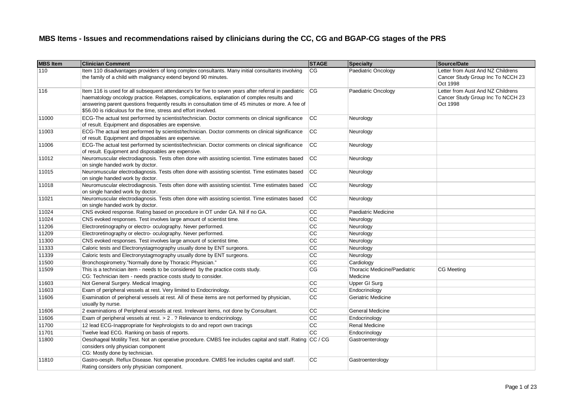| <b>MBS Item</b> | <b>Clinician Comment</b>                                                                                                                                                                                                                                                                                                                                                     | <b>STAGE</b>    | <b>Specialty</b>             | <b>Source/Date</b>                                                                 |
|-----------------|------------------------------------------------------------------------------------------------------------------------------------------------------------------------------------------------------------------------------------------------------------------------------------------------------------------------------------------------------------------------------|-----------------|------------------------------|------------------------------------------------------------------------------------|
| 110             | Item 110 disadvantages providers of long complex consultants. Many initial consultants involving<br>the family of a child with malignancy extend beyond 90 minutes.                                                                                                                                                                                                          | $\overline{CG}$ | Paediatric Oncology          | Letter from Aust And NZ Childrens<br>Cancer Study Group Inc To NCCH 23<br>Oct 1998 |
| 116             | Item 116 is used for all subsequent attendance's for five to seven years after referral in paediatric<br>haematology oncology practice. Relapses, complications, explanation of complex results and<br>answering parent questions frequently results in consultation time of 45 minutes or more. A fee of<br>\$56.00 is ridiculous for the time, stress and effort involved. | CG              | Paediatric Oncology          | Letter from Aust And NZ Childrens<br>Cancer Study Group Inc To NCCH 23<br>Oct 1998 |
| 11000           | ECG-The actual test performed by scientist/technician. Doctor comments on clinical significance<br>of result. Equipment and disposables are expensive.                                                                                                                                                                                                                       | <b>CC</b>       | Neurology                    |                                                                                    |
| 11003           | ECG-The actual test performed by scientist/technician. Doctor comments on clinical significance<br>of result. Equipment and disposables are expensive.                                                                                                                                                                                                                       | <b>CC</b>       | Neurology                    |                                                                                    |
| 11006           | ECG-The actual test performed by scientist/technician. Doctor comments on clinical significance<br>of result. Equipment and disposables are expensive.                                                                                                                                                                                                                       | <b>CC</b>       | Neurology                    |                                                                                    |
| 11012           | Neuromuscular electrodiagnosis. Tests often done with assisting scientist. Time estimates based<br>on single handed work by doctor.                                                                                                                                                                                                                                          | <b>CC</b>       | Neurology                    |                                                                                    |
| 11015           | Neuromuscular electrodiagnosis. Tests often done with assisting scientist. Time estimates based<br>on single handed work by doctor.                                                                                                                                                                                                                                          | <b>CC</b>       | Neurology                    |                                                                                    |
| 11018           | Neuromuscular electrodiagnosis. Tests often done with assisting scientist. Time estimates based<br>on single handed work by doctor.                                                                                                                                                                                                                                          | <b>CC</b>       | Neurology                    |                                                                                    |
| 11021           | Neuromuscular electrodiagnosis. Tests often done with assisting scientist. Time estimates based<br>on single handed work by doctor.                                                                                                                                                                                                                                          | <b>CC</b>       | Neurology                    |                                                                                    |
| 11024           | CNS evoked response. Rating based on procedure in OT under GA. Nil if no GA.                                                                                                                                                                                                                                                                                                 | CС              | Paediatric Medicine          |                                                                                    |
| 11024           | CNS evoked responses. Test involves large amount of scientist time.                                                                                                                                                                                                                                                                                                          | $\overline{cc}$ | Neurology                    |                                                                                    |
| 11206           | Electroretinography or electro- oculography. Never performed.                                                                                                                                                                                                                                                                                                                | $\overline{cc}$ | Neurology                    |                                                                                    |
| 11209           | Electroretinography or electro- oculography. Never performed.                                                                                                                                                                                                                                                                                                                | CC              | Neurology                    |                                                                                    |
| 11300           | CNS evoked responses. Test involves large amount of scientist time.                                                                                                                                                                                                                                                                                                          | $\overline{cc}$ | Neurology                    |                                                                                    |
| 11333           | Caloric tests and Electronystagmography usually done by ENT surgeons.                                                                                                                                                                                                                                                                                                        | $\overline{cc}$ | Neurology                    |                                                                                    |
| 11339           | Caloric tests and Electronystagmography usually done by ENT surgeons.                                                                                                                                                                                                                                                                                                        | $\overline{cc}$ | Neurology                    |                                                                                    |
| 11500           | Bronchospirometry."Normally done by Thoracic Physician."                                                                                                                                                                                                                                                                                                                     | cc              | Cardiology                   |                                                                                    |
| 11509           | This is a technician item - needs to be considered by the practice costs study.                                                                                                                                                                                                                                                                                              | CG              | Thoracic Medicine/Paediatric | CG Meeting                                                                         |
|                 | CG: Technician item - needs practice costs study to consider.                                                                                                                                                                                                                                                                                                                |                 | Medicine                     |                                                                                    |
| 11603           | Not General Surgery. Medical Imaging.                                                                                                                                                                                                                                                                                                                                        | CC              | Upper GI Surg                |                                                                                    |
| 11603           | Exam of peripheral vessels at rest. Very limited to Endocrinology.                                                                                                                                                                                                                                                                                                           | $\overline{cc}$ | Endocrinology                |                                                                                    |
| 11606           | Examination of peripheral vessels at rest. All of these items are not performed by physician,<br>usually by nurse.                                                                                                                                                                                                                                                           | $\overline{cc}$ | Geriatric Medicine           |                                                                                    |
| 11606           | 2 examinations of Peripheral vessels at rest. Irrelevant items, not done by Consultant.                                                                                                                                                                                                                                                                                      | CC              | <b>General Medicine</b>      |                                                                                    |
| 11606           | Exam of peripheral vessels at rest. > 2. ? Relevance to endocrinology.                                                                                                                                                                                                                                                                                                       | $\overline{cc}$ | Endocrinology                |                                                                                    |
| 11700           | 12 lead ECG-Inappropriate for Nephrologists to do and report own tracings                                                                                                                                                                                                                                                                                                    | CC              | <b>Renal Medicine</b>        |                                                                                    |
| 11701           | Twelve lead ECG. Ranking on basis of reports.                                                                                                                                                                                                                                                                                                                                | $\overline{cc}$ | Endocrinology                |                                                                                    |
| 11800           | Oesohageal Motility Test. Not an operative procedure. CMBS fee includes capital and staff. Rating CC / CG<br>considers only physician component<br>CG: Mostly done by technician.                                                                                                                                                                                            |                 | Gastroenterology             |                                                                                    |
| 11810           | Gastro-oesph. Reflux Disease. Not operative procedure. CMBS fee includes capital and staff.<br>Rating considers only physician component.                                                                                                                                                                                                                                    | cc              | Gastroenterology             |                                                                                    |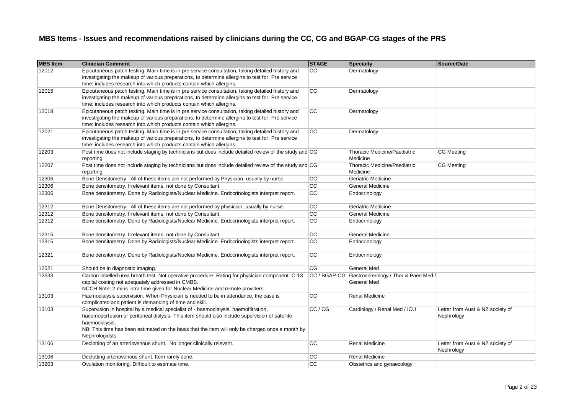| <b>MBS</b> Item | <b>Clinician Comment</b>                                                                                                                                                                                                                                                                                                        | <b>STAGE</b>    | Specialty                                                        | Source/Date                                    |
|-----------------|---------------------------------------------------------------------------------------------------------------------------------------------------------------------------------------------------------------------------------------------------------------------------------------------------------------------------------|-----------------|------------------------------------------------------------------|------------------------------------------------|
| 12012           | Epicutaneous patch testing. Main time is in pre service consultation, taking detailed history and<br>investigating the makeup of various preparations, to determine allergins to test for. Pre service<br>time: includes research into which products contain which allergins.                                                  | <b>CC</b>       | Dermatology                                                      |                                                |
| 12015           | Epicutaneous patch testing. Main time is in pre service consultation, taking detailed history and<br>investigating the makeup of various preparations, to determine allergins to test for. Pre service<br>time: includes research into which products contain which allergins.                                                  | <b>CC</b>       | Dermatology                                                      |                                                |
| 12018           | Epicutaneous patch testing. Main time is in pre service consultation, taking detailed history and<br>investigating the makeup of various preparations, to determine allergins to test for. Pre service<br>time: includes research into which products contain which allergins.                                                  | cc              | Dermatology                                                      |                                                |
| 12021           | Epicutaneous patch testing. Main time is in pre service consultation, taking detailed history and<br>investigating the makeup of various preparations, to determine allergins to test for. Pre service<br>time: includes research into which products contain which allergins.                                                  | cc              | Dermatology                                                      |                                                |
| 12203           | Post time does not include staging by technicians but does include detailed review of the study and CG<br>reporting.                                                                                                                                                                                                            |                 | <b>Thoracic Medicine/Paediatric</b><br>Medicine                  | <b>CG Meeting</b>                              |
| 12207           | Post time does not include staging by technicians but does include detailed review of the study and CG<br>reporting.                                                                                                                                                                                                            |                 | Thoracic Medicine/Paediatric<br>Medicine                         | <b>CG Meeting</b>                              |
| 12306           | Bone Densitometry - All of these items are not performed by Physician, usually by nurse.                                                                                                                                                                                                                                        | cc              | Geriatric Medicine                                               |                                                |
| 12306           | Bone densitometry. Irrelevant items, not done by Consultant.                                                                                                                                                                                                                                                                    | $\overline{cc}$ | General Medicine                                                 |                                                |
| 12306           | Bone densitometry. Done by Radiologists/Nuclear Medicine. Endocrinologists interpret report.                                                                                                                                                                                                                                    | CC              | Endocrinology                                                    |                                                |
| 12312           | Bone Densitometry - All of these items are not performed by physician, usually by nurse.                                                                                                                                                                                                                                        | <b>CC</b>       | Geriatric Medicine                                               |                                                |
| 12312           | Bone densitometry. Irrelevant items, not done by Consultant.                                                                                                                                                                                                                                                                    | $\overline{cc}$ | <b>General Medicine</b>                                          |                                                |
| 12312           | Bone densitometry. Done by Radiologists/Nuclear Medicine. Endocrinologists interpret report.                                                                                                                                                                                                                                    | cc              | Endocrinology                                                    |                                                |
| 12315           | Bone densitometry. Irrelevant items, not done by Consultant.                                                                                                                                                                                                                                                                    | cc              | <b>General Medicine</b>                                          |                                                |
| 12315           | Bone densitometry. Done by Radiologists/Nuclear Medicine. Endocrinologists interpret report.                                                                                                                                                                                                                                    | cc              | Endocrinology                                                    |                                                |
| 12321           | Bone densitometry. Done by Radiologists/Nuclear Medicine. Endocrinologists interpret report.                                                                                                                                                                                                                                    | <b>CC</b>       | Endocrinology                                                    |                                                |
| 12521           | Should be in diagnostic imaging.                                                                                                                                                                                                                                                                                                | CG              | General Med                                                      |                                                |
| 12533           | Carbon labelled urea breath test. Not operative procedure. Rating for physician component. C-13<br>capital costing not adequately addressed in CMBS.<br>NCCH Note: 2 mins intra time given for Nuclear Medicine and remote providers.                                                                                           |                 | CC / BGAP-CG Gastroenterology / Thor & Paed Med /<br>General Med |                                                |
| 13103           | Haemodialysis supervision. When Physician is needed to be in attendance, the case is<br>complicated and patient is demanding of time and skill.                                                                                                                                                                                 | <b>CC</b>       | Renal Medicine                                                   |                                                |
| 13103           | Supervision in hospital by a medical specialist of - haemodialysis, haemofiltration,<br>haeomoperfusion or peritoneal dialysis- This item should also include supervision of satellite<br>haemodialysis.<br>NB: This time has been estimated on the basis that the item will only be charged once a month by<br>Nephrologidsts. | CC / CG         | Cardiology / Renal Med / ICU                                     | Letter from Aust & NZ society of<br>Nephrology |
| 13106           | Declotting of an arteriovenous shunt. No longer clinically relevant.                                                                                                                                                                                                                                                            | <b>CC</b>       | Renal Medicine                                                   | Letter from Aust & NZ society of<br>Nephrology |
| 13106           | Declotting arteriovenous shunt. Item rarely done.                                                                                                                                                                                                                                                                               | CC              | Renal Medicine                                                   |                                                |
| 13203           | Ovulation monitoring. Difficult to estimate time.                                                                                                                                                                                                                                                                               | $\overline{cc}$ | Obstetrics and gynaecology                                       |                                                |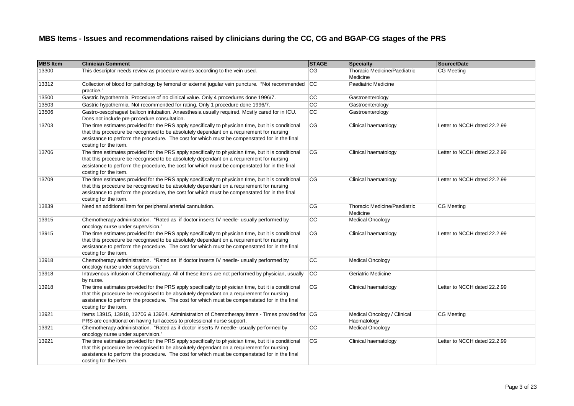| <b>MBS</b> Item | <b>Clinician Comment</b>                                                                                                                                                                                                                                                                                                   | <b>STAGE</b> | Specialty                                  | Source/Date                  |
|-----------------|----------------------------------------------------------------------------------------------------------------------------------------------------------------------------------------------------------------------------------------------------------------------------------------------------------------------------|--------------|--------------------------------------------|------------------------------|
| 13300           | This descriptor needs review as procedure varies according to the vein used.                                                                                                                                                                                                                                               | CG           | Thoracic Medicine/Paediatric<br>Medicine   | <b>CG Meeting</b>            |
| 13312           | Collection of blood for pathology by femoral or external jugular vein puncture. "Not recommended<br>practice."                                                                                                                                                                                                             | CC           | Paediatric Medicine                        |                              |
| 13500           | Gastric hypothermia. Procedure of no clinical value. Only 4 procedures done 1996/7.                                                                                                                                                                                                                                        | cc           | Gastroenterology                           |                              |
| 13503           | Gastric hypothermia. Not recommended for rating. Only 1 procedure done 1996/7.                                                                                                                                                                                                                                             | cc           | Gastroenterology                           |                              |
| 13506           | Gastro-oesophageal balloon intubation. Anaesthesia usually required. Mostly cared for in ICU.<br>Does not include pre-procedure consultation.                                                                                                                                                                              | cc           | Gastroenterology                           |                              |
| 13703           | The time estimates provided for the PRS apply specifically to physician time, but it is conditional<br>that this procedure be recognised to be absolutely dependant on a requirement for nursing<br>assistance to perform the procedure. The cost for which must be compenstated for in the final<br>costing for the item. | CG           | Clinical haematology                       | Letter to NCCH dated 22.2.99 |
| 13706           | The time estimates provided for the PRS apply specifically to physician time, but it is conditional<br>that this procedure be recognised to be absolutely dependant on a requirement for nursing<br>assistance to perform the procedure, the cost for which must be compenstated for in the final<br>costing for the item. | CG           | Clinical haematology                       | Letter to NCCH dated 22.2.99 |
| 13709           | The time estimates provided for the PRS apply specifically to physician time, but it is conditional<br>that this procedure be recognised to be absolutely dependant on a requirement for nursing<br>assistance to perform the procedure, the cost for which must be compenstated for in the final<br>costing for the item. | CG           | Clinical haematology                       | Letter to NCCH dated 22.2.99 |
| 13839           | Need an additional item for peripheral arterial cannulation.                                                                                                                                                                                                                                                               | CG           | Thoracic Medicine/Paediatric<br>Medicine   | <b>CG Meeting</b>            |
| 13915           | Chemotherapy administration. "Rated as if doctor inserts IV needle- usually performed by<br>oncology nurse under supervision."                                                                                                                                                                                             | cc           | <b>Medical Oncology</b>                    |                              |
| 13915           | The time estimates provided for the PRS apply specifically to physician time, but it is conditional<br>that this procedure be recognised to be absolutely dependant on a requirement for nursing<br>assistance to perform the procedure. The cost for which must be compenstated for in the final<br>costing for the item. | CG           | Clinical haematology                       | Letter to NCCH dated 22.2.99 |
| 13918           | Chemotherapy administration. "Rated as if doctor inserts IV needle- usually performed by<br>oncology nurse under supervision."                                                                                                                                                                                             | CC           | <b>Medical Oncology</b>                    |                              |
| 13918           | Intravenous infusion of Chemotherapy. All of these items are not performed by physician, usually<br>by nurse.                                                                                                                                                                                                              | <b>CC</b>    | Geriatric Medicine                         |                              |
| 13918           | The time estimates provided for the PRS apply specifically to physician time, but it is conditional<br>that this procedure be recognised to be absolutely dependant on a requirement for nursing<br>assistance to perform the procedure. The cost for which must be compenstated for in the final<br>costing for the item. | <b>CG</b>    | Clinical haematology                       | Letter to NCCH dated 22.2.99 |
| 13921           | Items 13915, 13918, 13706 & 13924. Administration of Chemotherapy items - Times provided for CG<br>PRS are conditional on having full access to professional nurse support.                                                                                                                                                |              | Medical Oncology / Clinical<br>Haematology | <b>CG Meeting</b>            |
| 13921           | Chemotherapy administration. "Rated as if doctor inserts IV needle- usually performed by<br>oncology nurse under supervision."                                                                                                                                                                                             | cc           | <b>Medical Oncology</b>                    |                              |
| 13921           | The time estimates provided for the PRS apply specifically to physician time, but it is conditional<br>that this procedure be recognised to be absolutely dependant on a requirement for nursing<br>assistance to perform the procedure. The cost for which must be compenstated for in the final<br>costing for the item. | <b>CG</b>    | Clinical haematology                       | Letter to NCCH dated 22.2.99 |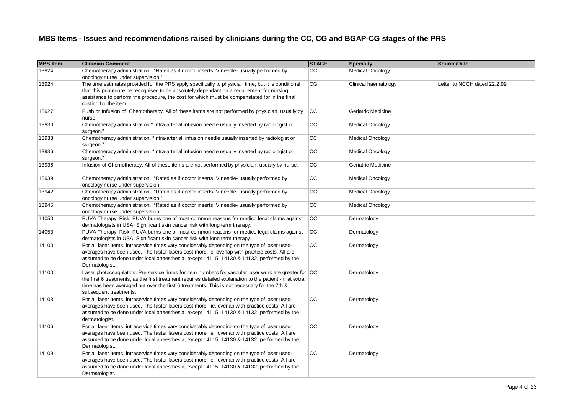| <b>MBS</b> Item | <b>Clinician Comment</b>                                                                                                                                                                                                                                                                                                                   | <b>STAGE</b> | Specialty               | Source/Date                  |
|-----------------|--------------------------------------------------------------------------------------------------------------------------------------------------------------------------------------------------------------------------------------------------------------------------------------------------------------------------------------------|--------------|-------------------------|------------------------------|
| 13924           | Chemotherapy administration. "Rated as if doctor inserts IV needle- usually performed by<br>oncology nurse under supervision."                                                                                                                                                                                                             | СC           | <b>Medical Oncology</b> |                              |
| 13924           | The time estimates provided for the PRS apply specifically to physician time, but it is conditional<br>that this procedure be recognised to be absolutely dependant on a requirement for nursing<br>assistance to perform the procedure, the cost for which must be compenstated for in the final<br>costing for the item.                 | CG           | Clinical haematology    | Letter to NCCH dated 22.2.99 |
| 13927           | Push or Infusion of Chemotherapy. All of these items are not performed by physician, usually by<br>nurse.                                                                                                                                                                                                                                  | <b>CC</b>    | Geriatric Medicine      |                              |
| 13930           | Chemotherapy administration." Intra-arterial infusion needle usually inserted by radiologist or<br>surgeon."                                                                                                                                                                                                                               | СC           | <b>Medical Oncology</b> |                              |
| 13933           | Chemotherapy administration. "Intra-arterial infusion needle usually inserted by radiologist or<br>surgeon."                                                                                                                                                                                                                               | СC           | <b>Medical Oncology</b> |                              |
| 13936           | Chemotherapy administration. "Intra-arterial infusion needle usually inserted by radiologist or<br>surgeon."                                                                                                                                                                                                                               | СC           | <b>Medical Oncology</b> |                              |
| 13936           | Infusion of Chemotherapy. All of these items are not performed by physician, usually by nurse.                                                                                                                                                                                                                                             | СC           | Geriatric Medicine      |                              |
| 13939           | Chemotherapy administration. "Rated as if doctor inserts IV needle- usually performed by<br>oncology nurse under supervision."                                                                                                                                                                                                             | СC           | <b>Medical Oncology</b> |                              |
| 13942           | Chemotherapy administration. "Rated as if doctor inserts IV needle- usually performed by<br>oncology nurse under supervision."                                                                                                                                                                                                             | cc           | <b>Medical Oncology</b> |                              |
| 13945           | Chemotherapy administration. "Rated as if doctor inserts IV needle- usually performed by<br>oncology nurse under supervision."                                                                                                                                                                                                             | cc           | <b>Medical Oncology</b> |                              |
| 14050           | PUVA Therapy. Risk: PUVA burns one of most common reasons for medico legal claims against<br>dermatologists in USA. Significant skin cancer risk with long term therapy.                                                                                                                                                                   | cc           | Dermatology             |                              |
| 14053           | PUVA Therapy. Risk: PUVA burns one of most common reasons for medico legal claims against<br>dermatologists in USA. Significant skin cancer risk with long term therapy.                                                                                                                                                                   | cc           | Dermatology             |                              |
| 14100           | For all laser items, intraservice times vary considerably depending on the type of laser used-<br>averages have been used. The faster lasers cost more, ie, overlap with practice costs. All are<br>assumed to be done under local anaesthesia, except 14115, 14130 & 14132, performed by the<br>Dermatologist.                            | CC           | Dermatology             |                              |
| 14100           | Laser photocoagulation. Pre service times for item numbers for vascular laser work are greater for CC<br>the first 6 treatments, as the first treatment requires detailed explanation to the patient - that extra<br>time has been averaged out over the first 6 treatments. This is not necessary for the 7th &<br>subsequent treatments. |              | Dermatology             |                              |
| 14103           | For all laser items, intraservice times vary considerably depending on the type of laser used-<br>averages have been used. The faster lasers cost more, ie, overlap with practice costs. All are<br>assumed to be done under local anaesthesia, except 14115, 14130 & 14132, performed by the<br>dermatologist.                            | cc           | Dermatology             |                              |
| 14106           | For all laser items, intraservice times vary considerably depending on the type of laser used-<br>averages have been used. The faster lasers cost more, ie, overlap with practice costs. All are<br>assumed to be done under local anaesthesia, except 14115, 14130 & 14132, performed by the<br>Dermatologist.                            | CC           | Dermatology             |                              |
| 14109           | For all laser items, intraservice times vary considerably depending on the type of laser used-<br>averages have been used. The faster lasers cost more, ie, overlap with practice costs. All are<br>assumed to be done under local anaesthesia, except 14115, 14130 & 14132, performed by the<br>Dermatologist.                            | CC           | Dermatology             |                              |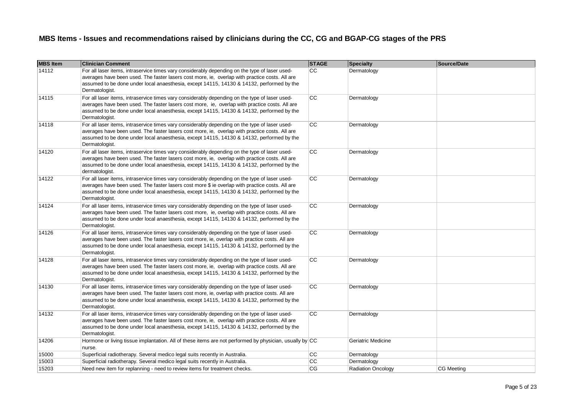| <b>MBS Item</b> | <b>Clinician Comment</b>                                                                                                                                                                                                                                                                                         | <b>STAGE</b> | Specialty                 | Source/Date       |
|-----------------|------------------------------------------------------------------------------------------------------------------------------------------------------------------------------------------------------------------------------------------------------------------------------------------------------------------|--------------|---------------------------|-------------------|
| 14112           | For all laser items, intraservice times vary considerably depending on the type of laser used-<br>averages have been used. The faster lasers cost more, ie, overlap with practice costs. All are<br>assumed to be done under local anaesthesia, except 14115, 14130 & 14132, performed by the<br>Dermatologist.  | CC.          | Dermatology               |                   |
| 14115           | For all laser items, intraservice times vary considerably depending on the type of laser used-<br>averages have been used. The faster lasers cost more, ie, overlap with practice costs. All are<br>assumed to be done under local anaesthesia, except 14115, 14130 & 14132, performed by the<br>Dermatologist.  | CC           | Dermatology               |                   |
| 14118           | For all laser items, intraservice times vary considerably depending on the type of laser used-<br>averages have been used. The faster lasers cost more, ie, overlap with practice costs. All are<br>assumed to be done under local anaesthesia, except 14115, 14130 & 14132, performed by the<br>Dermatologist.  | CC           | Dermatology               |                   |
| 14120           | For all laser items, intraservice times vary considerably depending on the type of laser used-<br>averages have been used. The faster lasers cost more, ie, overlap with practice costs. All are<br>assumed to be done under local anaesthesia, except 14115, 14130 & 14132, performed by the<br>dermatologist.  | <b>CC</b>    | Dermatology               |                   |
| 14122           | For all laser items, intraservice times vary considerably depending on the type of laser used-<br>averages have been used. The faster lasers cost more \$ ie overlap with practice costs. All are<br>assumed to be done under local anaesthesia, except 14115, 14130 & 14132, performed by the<br>Dermatologist. | CC           | Dermatology               |                   |
| 14124           | For all laser items, intraservice times vary considerably depending on the type of laser used-<br>averages have been used. The faster lasers cost more, ie, overlap with practice costs. All are<br>assumed to be done under local anaesthesia, except 14115, 14130 & 14132, performed by the<br>Dermatologist.  | <b>CC</b>    | Dermatology               |                   |
| 14126           | For all laser items, intraservice times vary considerably depending on the type of laser used-<br>averages have been used. The faster lasers cost more, ie, overlap with practice costs. All are<br>assumed to be done under local anaesthesia, except 14115, 14130 & 14132, performed by the<br>Dermatologist.  | <b>CC</b>    | Dermatology               |                   |
| 14128           | For all laser items, intraservice times vary considerably depending on the type of laser used-<br>averages have been used. The faster lasers cost more, ie, overlap with practice costs. All are<br>assumed to be done under local anaesthesia, except 14115, 14130 & 14132, performed by the<br>Dermatologist.  | <b>CC</b>    | Dermatology               |                   |
| 14130           | For all laser items, intraservice times vary considerably depending on the type of laser used-<br>averages have been used. The faster lasers cost more, ie, overlap with practice costs. All are<br>assumed to be done under local anaesthesia, except 14115, 14130 & 14132, performed by the<br>Dermatologist.  | <b>CC</b>    | Dermatology               |                   |
| 14132           | For all laser items, intraservice times vary considerably depending on the type of laser used-<br>averages have been used. The faster lasers cost more, ie, overlap with practice costs. All are<br>assumed to be done under local anaesthesia, except 14115, 14130 & 14132, performed by the<br>Dermatologist.  | CC           | Dermatology               |                   |
| 14206           | Hormone or living tissue implantation. All of these items are not performed by physician, usually by $ CC $<br>nurse.                                                                                                                                                                                            |              | Geriatric Medicine        |                   |
| 15000           | Superficial radiotherapy. Several medico legal suits recently in Australia.                                                                                                                                                                                                                                      | CC           | Dermatology               |                   |
| 15003           | Superficial radiotherapy. Several medico legal suits recently in Australia.                                                                                                                                                                                                                                      | <b>CC</b>    | Dermatology               |                   |
| 15203           | Need new item for replanning - need to review items for treatment checks.                                                                                                                                                                                                                                        | <b>CG</b>    | <b>Radiation Oncology</b> | <b>CG Meeting</b> |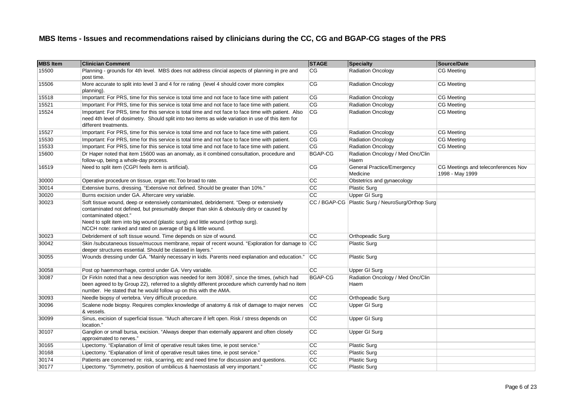| <b>MBS</b> Item | <b>Clinician Comment</b>                                                                                                                                                                                                                                                                                                                                         | <b>STAGE</b>   | <b>Specialty</b>                                    | Source/Date                                            |
|-----------------|------------------------------------------------------------------------------------------------------------------------------------------------------------------------------------------------------------------------------------------------------------------------------------------------------------------------------------------------------------------|----------------|-----------------------------------------------------|--------------------------------------------------------|
| 15500           | Planning - grounds for 4th level. MBS does not address clincial aspects of planning in pre and<br>post time.                                                                                                                                                                                                                                                     | CG             | <b>Radiation Oncology</b>                           | <b>CG</b> Meeting                                      |
| 15506           | More accurate to split into level 3 and 4 for re rating (level 4 should cover more complex<br>planning).                                                                                                                                                                                                                                                         | CG             | <b>Radiation Oncology</b>                           | CG Meeting                                             |
| 15518           | Important: For PRS, time for this service is total time and not face to face time with patient                                                                                                                                                                                                                                                                   | CG             | <b>Radiation Oncology</b>                           | CG Meeting                                             |
| 15521           | Important: For PRS, time for this service is total time and not face to face time with patient.                                                                                                                                                                                                                                                                  | CG             | <b>Radiation Oncology</b>                           | CG Meeting                                             |
| 15524           | Important: For PRS, time for this service is total time and not face to face time with patient. Also<br>need 4th level of dosimetry. Should split into two items as wide variation in use of this item for<br>different treatments.                                                                                                                              | CG             | <b>Radiation Oncology</b>                           | <b>CG Meeting</b>                                      |
| 15527           | Important: For PRS, time for this service is total time and not face to face time with patient.                                                                                                                                                                                                                                                                  | CG             | <b>Radiation Oncology</b>                           | CG Meeting                                             |
| 15530           | Important: For PRS, time for this service is total time and not face to face time with patient.                                                                                                                                                                                                                                                                  | CG             | <b>Radiation Oncology</b>                           | CG Meeting                                             |
| 15533           | Important: For PRS, time for this service is total time and not face to face time with patient.                                                                                                                                                                                                                                                                  | CG             | <b>Radiation Oncology</b>                           | CG Meeting                                             |
| 15600           | Dr Haper noted that item 15600 was an anomaly, as it combined consultation, procedure and<br>follow-up, being a whole-day process.                                                                                                                                                                                                                               | BGAP-CG        | Radiation Oncology / Med Onc/Clin<br>Haem           |                                                        |
| 16519           | Need to split item (CGPI feels item is artificial).                                                                                                                                                                                                                                                                                                              | CG             | General Practice/Emergency<br>Medicine              | CG Meetings and teleconferences Nov<br>1998 - May 1999 |
| 30000           | Operative procedure on tissue, organ etc. Too broad to rate.                                                                                                                                                                                                                                                                                                     | CС             | Obstetrics and gynaecology                          |                                                        |
| 30014           | Extensive burns, dressing. "Extensive not defined. Should be greater than 10%."                                                                                                                                                                                                                                                                                  | cc             | <b>Plastic Surg</b>                                 |                                                        |
| 30020           | Burns excision under GA. Aftercare very variable.                                                                                                                                                                                                                                                                                                                | cc             | Upper GI Surg                                       |                                                        |
| 30023           | Soft tissue wound, deep or extensively contaminated, debridement. "Deep or extensively<br>contaminated not defined, but presumably deeper than skin & obviously dirty or caused by<br>contaminated object."<br>Need to split item into big wound (plastic surg) and little wound (orthop surg).<br>NCCH note: ranked and rated on average of big & little wound. |                | CC / BGAP-CG   Plastic Surg / NeuroSurg/Orthop Surg |                                                        |
| 30023           | Debridement of soft tissue wound. Time depends on size of wound.                                                                                                                                                                                                                                                                                                 | CC.            | Orthopeadic Surg                                    |                                                        |
| 30042           | Skin /subcutaneous tissue/mucous membrane, repair of recent wound. "Exploration for damage to CC<br>deeper structures essential. Should be classed in layers."                                                                                                                                                                                                   |                | <b>Plastic Surg</b>                                 |                                                        |
| 30055           | Wounds dressing under GA. "Mainly necessary in kids. Parents need explanation and education."                                                                                                                                                                                                                                                                    | CC             | <b>Plastic Surg</b>                                 |                                                        |
| 30058           | Post op haemmorrhage, control under GA. Very variable.                                                                                                                                                                                                                                                                                                           | cc             | Upper GI Surg                                       |                                                        |
| 30087           | Dr FirkIn noted that a new description was needed for item 30087, since the times, (which had<br>been agreed to by Group 22), referred to a slightly different procedure which currently had no item<br>number. He stated that he would follow up on this with the AMA.                                                                                          | <b>BGAP-CG</b> | Radiation Oncology / Med Onc/Clin<br>Haem           |                                                        |
| 30093           | Needle biopsy of vertebra. Very difficult procedure.                                                                                                                                                                                                                                                                                                             | СC             | Orthopeadic Surg                                    |                                                        |
| 30096           | Scalene node biopsy. Requires complex knowledge of anatomy & risk of damage to major nerves<br>& vessels.                                                                                                                                                                                                                                                        | <b>CC</b>      | Upper GI Surg                                       |                                                        |
| 30099           | Sinus, excision of superficial tissue. "Much aftercare if left open. Risk / stress depends on<br>location."                                                                                                                                                                                                                                                      | <b>CC</b>      | Upper GI Surg                                       |                                                        |
| 30107           | Ganglion or small bursa, excision. "Always deeper than externally apparent and often closely<br>approximated to nerves."                                                                                                                                                                                                                                         | CC             | Upper GI Surg                                       |                                                        |
| 30165           | Lipectomy. "Explanation of limit of operative result takes time, ie post service."                                                                                                                                                                                                                                                                               | CC             | <b>Plastic Surg</b>                                 |                                                        |
| 30168           | Lipectomy. "Explanation of limit of operative result takes time, ie post service."                                                                                                                                                                                                                                                                               | CC             | <b>Plastic Surg</b>                                 |                                                        |
| 30174           | Patients are concerned re: risk, scarring, etc and need time for discussion and questions.                                                                                                                                                                                                                                                                       | CC             | <b>Plastic Surg</b>                                 |                                                        |
| 30177           | Lipectomy. "Symmetry, position of umbilicus & haemostasis all very important."                                                                                                                                                                                                                                                                                   | cc             | <b>Plastic Surg</b>                                 |                                                        |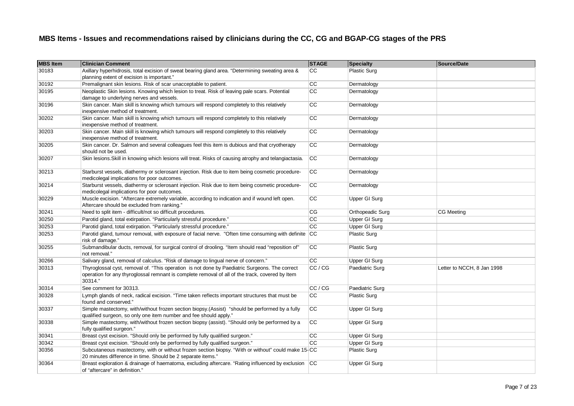| <b>MBS Item</b> | <b>Clinician Comment</b>                                                                                                                                                                                     | <b>STAGE</b>    | Specialty            | Source/Date                |
|-----------------|--------------------------------------------------------------------------------------------------------------------------------------------------------------------------------------------------------------|-----------------|----------------------|----------------------------|
| 30183           | Axillary hyperhidrosis, total excision of sweat bearing gland area. "Determining sweating area &<br>planning extent of excision is important."                                                               | CC              | <b>Plastic Surg</b>  |                            |
| 30192           | Premalignant skin lesions. Risk of scar unacceptable to patient.                                                                                                                                             | CС              | Dermatology          |                            |
| 30195           | Neoplastic Skin lesions. Knowing which lesion to treat. Risk of leaving pale scars. Potential<br>damage to underlying nerves and vessels.                                                                    | $\overline{cc}$ | Dermatology          |                            |
| 30196           | Skin cancer. Main skill is knowing which tumours will respond completely to this relatively<br>inexpensive method of treatment.                                                                              | cc              | Dermatology          |                            |
| 30202           | Skin cancer. Main skill is knowing which tumours will respond completely to this relatively<br>inexpensive method of treatment.                                                                              | СC              | Dermatology          |                            |
| 30203           | Skin cancer. Main skill is knowing which tumours will respond completely to this relatively<br>inexpensive method of treatment.                                                                              | cc              | Dermatology          |                            |
| 30205           | Skin cancer. Dr. Salmon and several colleagues feel this item is dubious and that cryotherapy<br>should not be used.                                                                                         | CC              | Dermatology          |                            |
| 30207           | Skin lesions. Skill in knowing which lesions will treat. Risks of causing atrophy and telangiactasia.                                                                                                        | <b>CC</b>       | Dermatology          |                            |
| 30213           | Starburst vessels, diathermy or sclerosant injection. Risk due to item being cosmetic procedure-<br>medicolegal implications for poor outcomes.                                                              | CC              | Dermatology          |                            |
| 30214           | Starburst vessels, diathermy or sclerosant injection. Risk due to item being cosmetic procedure-<br>medicolegal implications for poor outcomes.                                                              | <b>CC</b>       | Dermatology          |                            |
| 30229           | Muscle excision. "Aftercare extremely variable, according to indication and if wound left open.<br>Aftercare should be excluded from ranking."                                                               | cc              | Upper GI Surg        |                            |
| 30241           | Need to split item - difficult/not so difficult procedures.                                                                                                                                                  | CG              | Orthopeadic Surg     | <b>CG Meeting</b>          |
| 30250           | Parotid gland, total extirpation. "Particularly stressful procedure."                                                                                                                                        | cc              | Upper GI Surg        |                            |
| 30253           | Parotid gland, total extirpation. "Particularly stressful procedure."                                                                                                                                        | $\overline{cc}$ | <b>Upper GI Surg</b> |                            |
| 30253           | Parotid gland, tumour removal, with exposure of facial nerve. "Often time consuming with definite CC<br>risk of damage."                                                                                     |                 | Plastic Surg         |                            |
| 30255           | Submandibular ducts, removal, for surgical control of drooling. "Item should read "reposition of"<br>not removal."                                                                                           | <b>CC</b>       | <b>Plastic Surg</b>  |                            |
| 30266           | Salivary gland, removal of calculus. "Risk of damage to lingual nerve of concern."                                                                                                                           | CC              | Upper GI Surg        |                            |
| 30313           | Thyroglossal cyst, removal of. "This operation is not done by Paediatric Surgeons. The correct<br>operation for any thyroglossal remnant is complete removal of all of the track, covered by Item<br>30314." | CC/CG           | Paediatric Surg      | Letter to NCCH, 8 Jan 1998 |
| 30314           | See comment for 30313.                                                                                                                                                                                       | CC / CG         | Paediatric Surg      |                            |
| 30328           | Lymph glands of neck, radical excision. "Time taken reflects important structures that must be<br>found and conserved."                                                                                      | cc              | <b>Plastic Surg</b>  |                            |
| 30337           | Simple mastectomy, with/without frozen section biopsy.(Assist) "should be performed by a fully<br>qualified surgeon, so only one item number and fee should apply."                                          | <b>CC</b>       | Upper GI Surg        |                            |
| 30338           | Simple mastectomy, with/without frozen section biopsy (assist). "Should only be performed by a<br>fully qualified surgeon."                                                                                  | CC              | Upper GI Surg        |                            |
| 30341           | Breast cyst excision. "Should only be performed by fully qualified surgeon."                                                                                                                                 | СC              | Upper GI Surg        |                            |
| 30342           | Breast cyst excision. "Should only be performed by fully qualified surgeon."                                                                                                                                 | CC              | Upper GI Surg        |                            |
| 30356           | Subcutaneous mastectomy, with or without frozen section biopsy. "With or without" could make 15-CC<br>20 minutes difference in time. Should be 2 separate items."                                            |                 | <b>Plastic Surg</b>  |                            |
| 30364           | Breast exploration & drainage of haematoma, excluding aftercare. "Rating influenced by exclusion CC<br>of "aftercare" in definition."                                                                        |                 | Upper GI Surg        |                            |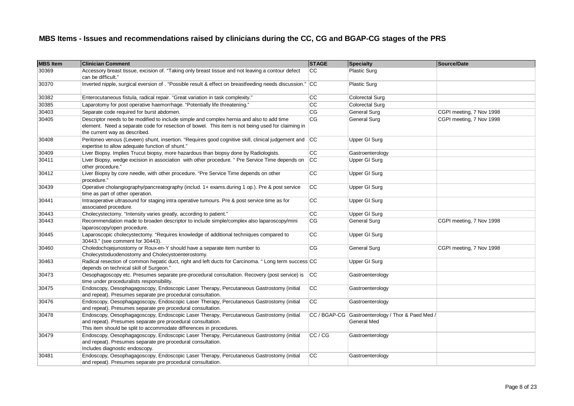| <b>MBS Item</b> | <b>Clinician Comment</b>                                                                                                                                                                                                        | <b>STAGE</b>           | Specialty                                                        | Source/Date              |
|-----------------|---------------------------------------------------------------------------------------------------------------------------------------------------------------------------------------------------------------------------------|------------------------|------------------------------------------------------------------|--------------------------|
| 30369           | Accessory breast tissue, excision of. "Taking only breast tissue and not leaving a contour defect<br>can be difficult."                                                                                                         | CC                     | <b>Plastic Surg</b>                                              |                          |
| 30370           | Inverted nipple, surgical eversion of . "Possible result & effect on breastfeeding needs discussion." CC                                                                                                                        |                        | <b>Plastic Surg</b>                                              |                          |
| 30382           | Enterocutaneous fistula, radical repair. "Great variation in task complexity."                                                                                                                                                  | cc                     | <b>Colorectal Surg</b>                                           |                          |
| 30385           | Laparotomy for post operative haemorrhage. "Potentially life threatening."                                                                                                                                                      | cc                     | Colorectal Surg                                                  |                          |
| 30403           | Separate code required for burst abdomen.                                                                                                                                                                                       | CG                     | General Surg                                                     | CGPI meeting, 7 Nov 1998 |
| 30405           | Descriptor needs to be modified to include simple and complex hernia and also to add time<br>element. Need a separate code for resection of bowel. This item is not being used for claiming in<br>the current way as described. | $\overline{\text{CG}}$ | General Surg                                                     | CGPI meeting, 7 Nov 1998 |
| 30408           | Peritoneo venous (Leveen) shunt, insertion. "Requires good cognitive skill, clinical judgement and CC<br>expertise to allow adequate function of shunt."                                                                        |                        | Upper GI Surg                                                    |                          |
| 30409           | Liver Biopsy. Implies Trucut biopsy, more hazardous than biopsy done by Radiologists.                                                                                                                                           | cc                     | Gastroenterology                                                 |                          |
| 30411           | Liver Biopsy, wedge excision in association with other procedure. " Pre Service Time depends on<br>other procedure."                                                                                                            | cc                     | Upper GI Surg                                                    |                          |
| 30412           | Liver Biopsy by core needle, with other procedure. "Pre Service Time depends on other<br>procedure.'                                                                                                                            | cc                     | Upper GI Surg                                                    |                          |
| 30439           | Operative cholangiography/pancreatography (includ. 1+ exams.during 1 op.). Pre & post service<br>time as part of other operation.                                                                                               | <b>CC</b>              | Upper GI Surg                                                    |                          |
| 30441           | Intraoperative ultrasound for staging intra operative tumours. Pre & post service time as for<br>associated procedure.                                                                                                          | cc                     | Upper GI Surg                                                    |                          |
| 30443           | Cholecystectomy. "Intensity varies greatly, according to patient."                                                                                                                                                              | cc                     | Upper GI Surg                                                    |                          |
| 30443           | Recommendation made to broaden descriptor to include simple/complex also laparoscopy/mini<br>laparoscopy/open procedure.                                                                                                        | CG                     | <b>General Surg</b>                                              | CGPI meeting, 7 Nov 1998 |
| 30445           | Laparoscopic cholecystectomy. "Requires knowledge of additional techniques compared to<br>30443." (see comment for 30443).                                                                                                      | cc                     | Upper GI Surg                                                    |                          |
| 30460           | Choledochojejunostomy or Roux-en-Y should have a separate item number to<br>Cholecystoduodenostomy and Cholecystoenterostomy.                                                                                                   | CG                     | <b>General Surg</b>                                              | CGPI meeting, 7 Nov 1998 |
| 30463           | Radical resection of common hepatic duct, right and left ducts for Carcinoma. "Long term success CC<br>depends on technical skill of Surgeon."                                                                                  |                        | Upper GI Surg                                                    |                          |
| 30473           | Oesophagoscopy etc. Presumes separate pre-procedural consultation. Recovery (post service) is<br>time under proceduralists responsibility.                                                                                      | <b>CC</b>              | Gastroenterology                                                 |                          |
| 30475           | Endoscopy, Oesophagagoscopy, Endoscopic Laser Therapy, Percutaneous Gastrostomy (initial<br>and repeat). Presumes separate pre procedural consultation.                                                                         | <b>CC</b>              | Gastroenterology                                                 |                          |
| 30476           | Endoscopy, Oesophagagoscopy, Endoscopic Laser Therapy, Percutaneous Gastrostomy (initial<br>and repeat). Presumes separate pre procedural consultation.                                                                         | CC                     | Gastroenterology                                                 |                          |
| 30478           | Endoscopy, Oesophagagoscopy, Endoscopic Laser Therapy, Percutaneous Gastrostomy (initial<br>and repeat). Presumes separate pre procedural consultation.<br>This item should be split to accommodate differences in procedures.  |                        | CC / BGAP-CG Gastroenterology / Thor & Paed Med /<br>General Med |                          |
| 30479           | Endoscopy, Oesophagagoscopy, Endoscopic Laser Therapy, Percutaneous Gastrostomy (initial<br>and repeat). Presumes separate pre procedural consultation.<br>Includes diagnostic endoscopy.                                       | CC / CG                | Gastroenterology                                                 |                          |
| 30481           | Endoscopy, Oesophagagoscopy, Endoscopic Laser Therapy, Percutaneous Gastrostomy (initial<br>and repeat). Presumes separate pre procedural consultation.                                                                         | <b>CC</b>              | Gastroenterology                                                 |                          |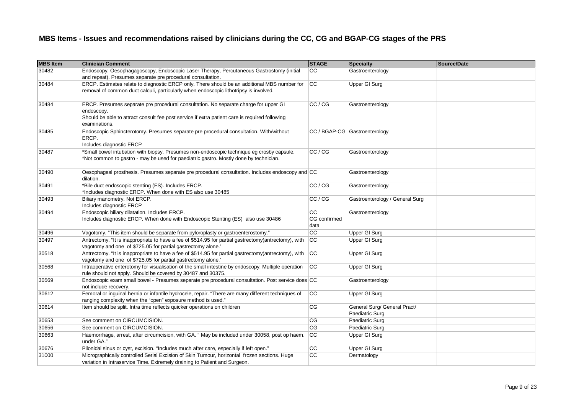| <b>MBS</b> Item | <b>Clinician Comment</b>                                                                                                                                                                                              | <b>STAGE</b>                      | Specialty                                       | Source/Date |
|-----------------|-----------------------------------------------------------------------------------------------------------------------------------------------------------------------------------------------------------------------|-----------------------------------|-------------------------------------------------|-------------|
| 30482           | Endoscopy, Oesophagagoscopy, Endoscopic Laser Therapy, Percutaneous Gastrostomy (initial<br>and repeat). Presumes separate pre procedural consultation.                                                               | CC                                | Gastroenterology                                |             |
| 30484           | ERCP. Estimates relate to diagnostic ERCP only. There should be an additional MBS number for<br>removal of common duct calculi, particularly when endoscopic lithotripsy is involved.                                 | cc                                | Upper GI Surg                                   |             |
| 30484           | ERCP. Presumes separate pre procedural consultation. No separate charge for upper GI<br>endoscopy.<br>Should be able to attract consult fee post service if extra patient care is required following<br>examinations. | CC / CG                           | Gastroenterology                                |             |
| 30485           | Endoscopic Sphincterotomy. Presumes separate pre procedural consultation. With/without<br>ERCP.<br>Includes diagnostic ERCP                                                                                           |                                   | CC / BGAP-CG Gastroenterology                   |             |
| 30487           | *Small bowel intubation with biopsy. Presumes non-endoscopic technique eg crosby capsule.<br>*Not common to gastro - may be used for paediatric gastro. Mostly done by technician.                                    | CC / CG                           | Gastroenterology                                |             |
| 30490           | Oesophageal prosthesis. Presumes separate pre procedural consultation. Includes endoscopy and $ CC $<br>dilation.                                                                                                     |                                   | Gastroenterology                                |             |
| 30491           | *Bile duct endoscopic stenting (ES). Includes ERCP.<br>*Includes diagnostic ERCP. When done with ES also use 30485                                                                                                    | CC / CG                           | Gastroenterology                                |             |
| 30493           | Biliary manometry. Not ERCP.<br>Includes diagnostic ERCP                                                                                                                                                              | CC / CG                           | Gastroenterology / General Surg                 |             |
| 30494           | Endoscopic biliary dilatation. Includes ERCP.<br>Includes diagnostic ERCP. When done with Endoscopic Stenting (ES) also use 30486                                                                                     | <b>CC</b><br>CG confirmed<br>data | Gastroenterology                                |             |
| 30496           | Vagotomy. "This item should be separate from pyloroplasty or gastroenterostomy."                                                                                                                                      | cc                                | <b>Upper GI Surg</b>                            |             |
| 30497           | Antrectomy. "It is inappropriate to have a fee of \$514.95 for partial gastrectomy(antrectomy), with<br>vagotomy and one of \$725.05 for partial gastrectomy alone.'                                                  | <b>CC</b>                         | <b>Upper GI Surg</b>                            |             |
| 30518           | Antrectomy. "It is inappropriate to have a fee of \$514.95 for partial gastrectomy(antrectomy), with<br>vagotomy and one of \$725.05 for partial gastrectomy alone.'                                                  | CC                                | <b>Upper GI Surg</b>                            |             |
| 30568           | Intraoperative enterotomy for visualisation of the small intestine by endoscopy. Multiple operation<br>rule should not apply. Should be covered by 30487 and 30375.                                                   | CC                                | <b>Upper GI Surg</b>                            |             |
| 30569           | Endoscopic exam small bowel - Presumes separate pre procedural consultation. Post service does CC<br>not include recovery.                                                                                            |                                   | Gastroenterology                                |             |
| 30612           | Femoral or inguinal hernia or infantile hydrocele, repair. "There are many different techniques of<br>ranging complexity when the "open" exposure method is used."                                                    | <b>CC</b>                         | <b>Upper GI Surg</b>                            |             |
| 30614           | Item should be split. Intra time reflects quicker operations on children                                                                                                                                              | CG                                | General Surg/ General Pract/<br>Paediatric Surg |             |
| 30653           | See comment on CIRCUMCISION.                                                                                                                                                                                          | CG                                | Paediatric Surg                                 |             |
| 30656           | See comment on CIRCUMCISION.                                                                                                                                                                                          | CG                                | Paediatric Surg                                 |             |
| 30663           | Haemorrhage, arrest, after circumcision, with GA. " May be included under 30058, post op haem.<br>under GA."                                                                                                          | cc                                | Upper GI Surg                                   |             |
| 30676           | Pilonidal sinus or cyst, excision. "Includes much after care, especially if left open."                                                                                                                               | cc                                | <b>Upper GI Surg</b>                            |             |
| 31000           | Micrographically controlled Serial Excision of Skin Tumour, horizontal frozen sections. Huge<br>variation in Intraservice Time. Extremely draining to Patient and Surgeon.                                            | cc                                | Dermatology                                     |             |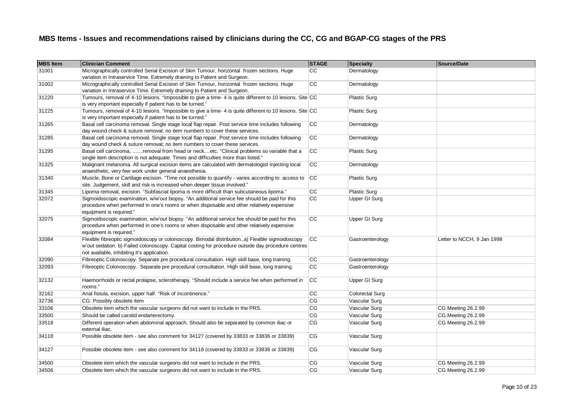| <b>MBS Item</b> | <b>Clinician Comment</b>                                                                                                                                                                                                                             | <b>STAGE</b> | <b>Specialty</b>       | Source/Date                |
|-----------------|------------------------------------------------------------------------------------------------------------------------------------------------------------------------------------------------------------------------------------------------------|--------------|------------------------|----------------------------|
| 31001           | Micrographically controlled Serial Excision of Skin Tumour, horizontal frozen sections. Huge<br>variation in Intraservice Time. Extremely draining to Patient and Surgeon.                                                                           | CC           | Dermatology            |                            |
| 31002           | Micrographically controlled Serial Excision of Skin Tumour, horizontal frozen sections. Huge<br>variation in Intraservice Time. Extremely draining to Patient and Surgeon.                                                                           | cc           | Dermatology            |                            |
| 31220           | Tumours, removal of 4-10 lesions. "Impossible to give a time- 4 is quite different to 10 lesions. Site CC<br>is very important especially if patient has to be turned."                                                                              |              | <b>Plastic Surg</b>    |                            |
| 31225           | Tumours, removal of 4-10 lesions. "Impossible to give a time- 4 is quite different to 10 lesions. Site CC<br>is very important especially if patient has to be turned."                                                                              |              | <b>Plastic Surg</b>    |                            |
| 31265           | Basal cell carcinoma removal. Single stage local flap repair. Post service time includes following<br>day wound check & suture removal; no item numbers to cover these services.                                                                     | CC           | Dermatology            |                            |
| 31285           | Basal cell carcinoma removal. Single stage local flap repair. Post service time includes following<br>day wound check & suture removal; no item numbers to cover these services.                                                                     | cc           | Dermatology            |                            |
| 31295           | Basal cell carcinoma, removal from head or necketc. "Clinical problems so variable that a<br>single item description is not adequate. Times and difficulties more than listed."                                                                      | <b>CC</b>    | <b>Plastic Surg</b>    |                            |
| 31325           | Malignant melanoma. All surgical excision items are calculated with dermatologist injecting local<br>anaesthetic, very few work under general anaesthesia.                                                                                           | CC           | Dermatology            |                            |
| 31340           | Muscle, Bone or Cartilage excision. "Time not possible to quantify - varies according to access to<br>site. Judgement, skill and risk is increased when deeper tissue involved."                                                                     | cc           | <b>Plastic Surg</b>    |                            |
| 31345           | Lipoma removal, excision. "Subfascial lipoma is more difficult than subcutaneous lipoma."                                                                                                                                                            | cc           | Plastic Surg           |                            |
| 32072           | Sigmoidoscopic examination, w/w'out biopsy. "An additional service fee should be paid for this<br>procedure when performed in one's rooms or when disposable and other relatively expensive<br>equipment is required."                               | cc           | Upper GI Surg          |                            |
| 32075           | Sigmoidoscopic examination, w/w'out biopsy. "An additional service fee should be paid for this<br>procedure when performed in one's rooms or when disposable and other relatively expensive<br>equipment is required."                               | <b>CC</b>    | Upper GI Surg          |                            |
| 32084           | Flexible fibreoptic sigmoidoscopy or colonoscopy. Bimodal distributiona) Flexible sigmoidoscopy<br>w'out sedation. b) Failed colonoscopy. Capital costing for procedure outside day procedure centres<br>not available, inhibiting it's application. | cc           | Gastroenterology       | Letter to NCCH, 9 Jan 1998 |
| 32090           | Fibreoptic Colonoscopy. Separate pre procedural consultation. High skill base, long training.                                                                                                                                                        | cc           | Gastroenterology       |                            |
| 32093           | Fibreoptic Colonoscopy. Separate pre procedural consultation. High skill base, long training.                                                                                                                                                        | cc           | Gastroenterology       |                            |
| 32132           | Haemorrhoids or rectal prolapse, sclerotherapy. "Should include a service fee when performed in<br>rooms."                                                                                                                                           | <b>CC</b>    | Upper GI Surg          |                            |
| 32162           | Anal fistula, excision, upper half. "Risk of incontinence."                                                                                                                                                                                          | CC           | <b>Colorectal Surg</b> |                            |
| 32736           | CG: Possibly obsolete item                                                                                                                                                                                                                           | CG           | Vascular Surg          |                            |
| 33106           | Obsolete item which the vascular surgeons did not want to include in the PRS.                                                                                                                                                                        | CG           | Vascular Surg          | CG Meeting 26.2.99         |
| 33500           | Should be called carotid endarterectomy.                                                                                                                                                                                                             | CG           | Vascular Surg          | CG Meeting 26.2.99         |
| 33518           | Different operation when abdominal approach. Should also be separated by common iliac or<br>external iliac.                                                                                                                                          | CG           | Vascular Surg          | CG Meeting 26.2.99         |
| 34118           | Possible obsolete item - see also comment for 34127 (covered by 33833 or 33836 or 33839)                                                                                                                                                             | CG           | Vascular Surg          |                            |
| 34127           | Possible obsolete item - see also comment for 34118 (covered by 33833 or 33836 or 33839)                                                                                                                                                             | CG           | Vascular Surg          |                            |
| 34500           | Obsolete item which the vascular surgeons did not want to include in the PRS.                                                                                                                                                                        | CG           | Vascular Surg          | CG Meeting 26.2.99         |
| 34506           | Obsolete item which the vascular surgeons did not want to include in the PRS.                                                                                                                                                                        | CG           | Vascular Surg          | CG Meeting 26.2.99         |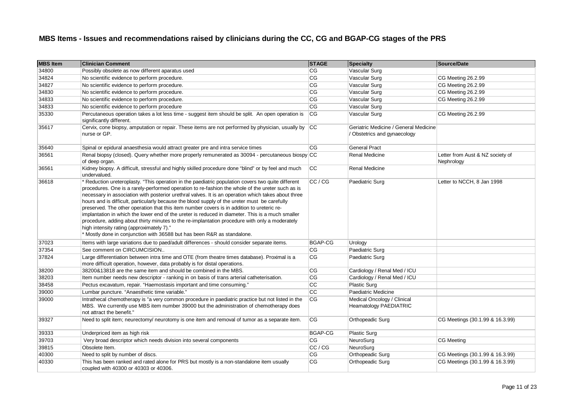| <b>MBS Item</b> | <b>Clinician Comment</b>                                                                                                                                                                                                                                                                                                                                                                                                                                                                                                                                                                                                                                                                                                                                                                                                                 | <b>STAGE</b>           | <b>Specialty</b>                                                    | Source/Date                                    |
|-----------------|------------------------------------------------------------------------------------------------------------------------------------------------------------------------------------------------------------------------------------------------------------------------------------------------------------------------------------------------------------------------------------------------------------------------------------------------------------------------------------------------------------------------------------------------------------------------------------------------------------------------------------------------------------------------------------------------------------------------------------------------------------------------------------------------------------------------------------------|------------------------|---------------------------------------------------------------------|------------------------------------------------|
| 34800           | Possibly obsolete as now different aparatus used                                                                                                                                                                                                                                                                                                                                                                                                                                                                                                                                                                                                                                                                                                                                                                                         | CG                     | Vascular Surg                                                       |                                                |
| 34824           | No scientific evidence to perform procedure.                                                                                                                                                                                                                                                                                                                                                                                                                                                                                                                                                                                                                                                                                                                                                                                             | CG                     | Vascular Surg                                                       | CG Meeting 26.2.99                             |
| 34827           | No scientific evidence to perform procedure.                                                                                                                                                                                                                                                                                                                                                                                                                                                                                                                                                                                                                                                                                                                                                                                             | CG                     | Vascular Surg                                                       | CG Meeting 26.2.99                             |
| 34830           | No scientific evidence to perform procedure.                                                                                                                                                                                                                                                                                                                                                                                                                                                                                                                                                                                                                                                                                                                                                                                             | CG                     | Vascular Surg                                                       | CG Meeting 26.2.99                             |
| 34833           | No scientific evidence to perform procedure.                                                                                                                                                                                                                                                                                                                                                                                                                                                                                                                                                                                                                                                                                                                                                                                             | $\overline{\text{CG}}$ | Vascular Surg                                                       | CG Meeting 26.2.99                             |
| 34833           | No scientific evidence to perform procedure                                                                                                                                                                                                                                                                                                                                                                                                                                                                                                                                                                                                                                                                                                                                                                                              | CG                     | Vascular Surg                                                       |                                                |
| 35330           | Percutaneous operation takes a lot less time - suggest item should be split. An open operation is<br>significantly different.                                                                                                                                                                                                                                                                                                                                                                                                                                                                                                                                                                                                                                                                                                            | <b>CG</b>              | Vascular Surg                                                       | CG Meeting 26.2.99                             |
| 35617           | Cervix, cone biopsy, amputation or repair. These items are not performed by physician, usually by<br>nurse or GP.                                                                                                                                                                                                                                                                                                                                                                                                                                                                                                                                                                                                                                                                                                                        | CC                     | Geriatric Medicine / General Medicine<br>Obstetrics and gynaecology |                                                |
| 35640           | Spinal or epidural anaesthesia would attract greater pre and intra service times                                                                                                                                                                                                                                                                                                                                                                                                                                                                                                                                                                                                                                                                                                                                                         | CG                     | <b>General Pract</b>                                                |                                                |
| 36561           | Renal biopsy (closed). Query whether more properly remunerated as 30094 - percutaneous biospy CC<br>of deep organ.                                                                                                                                                                                                                                                                                                                                                                                                                                                                                                                                                                                                                                                                                                                       |                        | Renal Medicine                                                      | Letter from Aust & NZ society of<br>Nephrology |
| 36561           | Kidney biopsy. A difficult, stressful and highly skilled procedure done "blind" or by feel and much<br>undervalued.                                                                                                                                                                                                                                                                                                                                                                                                                                                                                                                                                                                                                                                                                                                      | <b>CC</b>              | <b>Renal Medicine</b>                                               |                                                |
| 36618           | Reduction ureteroplasty. "This operation in the paediatric population covers two quite different<br>procedures. One is a rarely-performed operation to re-fashion the whole of the ureter such as is<br>necessary in association with posterior urethral valves. It is an operation which takes about three<br>hours and is difficult, particularly because the blood supply of the ureter must be carefully<br>preserved. The other operation that this item number covers is in addition to ureteric re-<br>implantation in which the lower end of the ureter is reduced in diameter. This is a much smaller<br>procedure, adding about thirty minutes to the re-implantation procedure with only a moderately<br>high intensity rating (approximately 7)."<br>* Mostly done in conjunction with 36588 but has been R&R as standalone. | CC / CG                | Paediatric Surg                                                     | Letter to NCCH, 8 Jan 1998                     |
| 37023           | Items with large variations due to paed/adult differences - should consider separate items.                                                                                                                                                                                                                                                                                                                                                                                                                                                                                                                                                                                                                                                                                                                                              | BGAP-CG                | Urology                                                             |                                                |
| 37354           | See comment on CIRCUMCISION                                                                                                                                                                                                                                                                                                                                                                                                                                                                                                                                                                                                                                                                                                                                                                                                              | СG                     | Paediatric Surg                                                     |                                                |
| 37824           | Large differentiation between intra time and OTE (from theatre times database). Proximal is a<br>more difficult operation, however, data probably is for distal operations.                                                                                                                                                                                                                                                                                                                                                                                                                                                                                                                                                                                                                                                              | CG                     | Paediatric Surg                                                     |                                                |
| 38200           | 38200&13818 are the same item and should be combined in the MBS.                                                                                                                                                                                                                                                                                                                                                                                                                                                                                                                                                                                                                                                                                                                                                                         | CG                     | Cardiology / Renal Med / ICU                                        |                                                |
| 38203           | Item number needs new descriptor - ranking in on basis of trans arterial catheterisation.                                                                                                                                                                                                                                                                                                                                                                                                                                                                                                                                                                                                                                                                                                                                                | СG                     | Cardiology / Renal Med / ICU                                        |                                                |
| 38458           | Pectus excavatum, repair. "Haemostasis important and time consuming."                                                                                                                                                                                                                                                                                                                                                                                                                                                                                                                                                                                                                                                                                                                                                                    | cc                     | <b>Plastic Surg</b>                                                 |                                                |
| 39000           | Lumbar puncture. "Anaesthetic time variable."                                                                                                                                                                                                                                                                                                                                                                                                                                                                                                                                                                                                                                                                                                                                                                                            | cc                     | Paediatric Medicine                                                 |                                                |
| 39000           | Intrathecal chemotherapy is "a very common procedure in paediatric practice but not listed in the<br>MBS. We currently use MBS item number 39000 but the administration of chemotherapy does<br>not attract the benefit."                                                                                                                                                                                                                                                                                                                                                                                                                                                                                                                                                                                                                | CG                     | Medical Oncology / Clinical<br><b>Heamatology PAEDIATRIC</b>        |                                                |
| 39327           | Need to split item; neurectomy/ neurotomy is one item and removal of tumor as a separate item.                                                                                                                                                                                                                                                                                                                                                                                                                                                                                                                                                                                                                                                                                                                                           | CG                     | Orthopeadic Surg                                                    | CG Meetings (30.1.99 & 16.3.99)                |
| 39333           | Underpriced item as high risk                                                                                                                                                                                                                                                                                                                                                                                                                                                                                                                                                                                                                                                                                                                                                                                                            | BGAP-CG                | Plastic Surg                                                        |                                                |
| 39703           | Very broad descriptor which needs division into several components                                                                                                                                                                                                                                                                                                                                                                                                                                                                                                                                                                                                                                                                                                                                                                       | СG                     | NeuroSurg                                                           | <b>CG Meeting</b>                              |
| 39815           | Obsolete Item.                                                                                                                                                                                                                                                                                                                                                                                                                                                                                                                                                                                                                                                                                                                                                                                                                           | CC / CG                | NeuroSurg                                                           |                                                |
| 40300           | Need to split by number of discs.                                                                                                                                                                                                                                                                                                                                                                                                                                                                                                                                                                                                                                                                                                                                                                                                        | CG                     | Orthopeadic Surg                                                    | CG Meetings (30.1.99 & 16.3.99)                |
| 40330           | This has been ranked and rated alone for PRS but mostly is a non-standalone item usually<br>coupled with 40300 or 40303 or 40306.                                                                                                                                                                                                                                                                                                                                                                                                                                                                                                                                                                                                                                                                                                        | CG                     | Orthopeadic Surg                                                    | CG Meetings (30.1.99 & 16.3.99)                |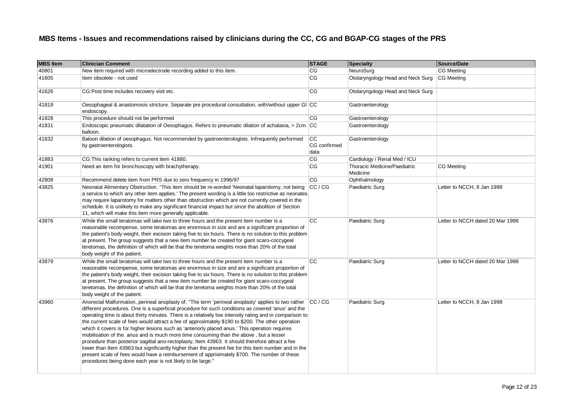| <b>MBS Item</b> | <b>Clinician Comment</b>                                                                                                                                                                                                                                                                                                                                                                                                                                                                                                                                                                                                                                                                                                                                                                                                                                                                                                                                                                         | <b>STAGE</b>                            | Specialty                                | Source/Date                      |
|-----------------|--------------------------------------------------------------------------------------------------------------------------------------------------------------------------------------------------------------------------------------------------------------------------------------------------------------------------------------------------------------------------------------------------------------------------------------------------------------------------------------------------------------------------------------------------------------------------------------------------------------------------------------------------------------------------------------------------------------------------------------------------------------------------------------------------------------------------------------------------------------------------------------------------------------------------------------------------------------------------------------------------|-----------------------------------------|------------------------------------------|----------------------------------|
| 40801           | New item required with microelectrode recording added to this item.                                                                                                                                                                                                                                                                                                                                                                                                                                                                                                                                                                                                                                                                                                                                                                                                                                                                                                                              | CG                                      | NeuroSurg                                | <b>CG</b> Meeting                |
| 41605           | Item obsolete - not used                                                                                                                                                                                                                                                                                                                                                                                                                                                                                                                                                                                                                                                                                                                                                                                                                                                                                                                                                                         | CG                                      | Otolaryngology Head and Neck Surg        | CG Meeting                       |
| 41626           | CG:Post time includes recovery visit etc.                                                                                                                                                                                                                                                                                                                                                                                                                                                                                                                                                                                                                                                                                                                                                                                                                                                                                                                                                        | CG                                      | Otolaryngology Head and Neck Surg        |                                  |
| 41819           | Oesophageal & anastomosis stricture. Separate pre procedural consultation, with/without upper GI CC<br>endoscopy.                                                                                                                                                                                                                                                                                                                                                                                                                                                                                                                                                                                                                                                                                                                                                                                                                                                                                |                                         | Gastroenterology                         |                                  |
| 41828           | This procedure should not be performed                                                                                                                                                                                                                                                                                                                                                                                                                                                                                                                                                                                                                                                                                                                                                                                                                                                                                                                                                           | CG                                      | Gastroenterology                         |                                  |
| 41831           | Endoscopic pneumatic dilatation of Oesophagus. Refers to pneumatic dilation of achalasia, > 2cm CC<br>balloon.                                                                                                                                                                                                                                                                                                                                                                                                                                                                                                                                                                                                                                                                                                                                                                                                                                                                                   |                                         | Gastroenterology                         |                                  |
| 41832           | Baloon dilation of oesophagus. Not recommended by gastroenterologists. Infrequently performed<br>by gastroenterologists.                                                                                                                                                                                                                                                                                                                                                                                                                                                                                                                                                                                                                                                                                                                                                                                                                                                                         | $\overline{cc}$<br>CG confirmed<br>data | Gastroenterology                         |                                  |
| 41883           | CG: This ranking refers to current item 41880.                                                                                                                                                                                                                                                                                                                                                                                                                                                                                                                                                                                                                                                                                                                                                                                                                                                                                                                                                   | CG                                      | Cardiology / Renal Med / ICU             |                                  |
| 41901           | Need an item for bronchoscopy with brachytherapy.                                                                                                                                                                                                                                                                                                                                                                                                                                                                                                                                                                                                                                                                                                                                                                                                                                                                                                                                                | CG                                      | Thoracic Medicine/Paediatric<br>Medicine | <b>CG Meeting</b>                |
| 42808           | Recommend delete item from PRS due to zero frequency in 1996/97                                                                                                                                                                                                                                                                                                                                                                                                                                                                                                                                                                                                                                                                                                                                                                                                                                                                                                                                  | CG                                      | Ophthalmology                            |                                  |
| 43825           | Neonatal Alimentary Obstruction. "This item should be re-worded 'Neonatal laparotomy, not being<br>a service to which any other item applies.' The present wording is a little too restrictive as neonates<br>may require laparotomy for matters other than obstruction which are not currently covered in the<br>schedule. It is unlikely to make any significant financial impact but since the abolition of Section<br>11, which will make this item more generally applicable.                                                                                                                                                                                                                                                                                                                                                                                                                                                                                                               | CC / CG                                 | Paediatric Surg                          | Letter to NCCH, 8 Jan 1998       |
| 43876           | While the small teratomas will take two to three hours and the present item number is a<br>reasonable recompense, some teratomas are enormous in size and are a significant proportion of<br>the patient's body weight, their excision taking five to six hours. There is no solution to this problem<br>at present. The group suggests that a new item number be created for giant scaro-coccygeal<br>teretomas, the definition of which will be that the teretoma weights more than 20% of the total<br>body weight of the patient.                                                                                                                                                                                                                                                                                                                                                                                                                                                            | cc                                      | Paediatric Surg                          | Letter to NCCH dated 20 Mar 1998 |
| 43879           | While the small teratomas will take two to three hours and the present item number is a<br>reasonable recompense, some teratomas are enormous in size and are a significant proportion of<br>the patient's body weight, their excision taking five to six hours. There is no solution to this problem<br>at present. The group suggests that a new item number be created for giant scaro-coccygeal<br>teretomas, the definition of which will be that the teretoma weights more than 20% of the total<br>body weight of the patient.                                                                                                                                                                                                                                                                                                                                                                                                                                                            | CC                                      | Paediatric Surg                          | Letter to NCCH dated 20 Mar 1998 |
| 43960           | Anorectal Malformation, perineal anoplasty of. "The term 'perineal anoplasty' applies to two rather<br>different procedures. One is a superficial procedure for such conditions as covered 'anus' and the<br>operating time is about thirty minutes. There is a relatively low intensity rating and in comparison to<br>the current scale of fees would attract a fee of approximately \$190 to \$200. The other operation<br>which it covers is for higher lesions such as 'anteriorly placed anus.' This operation requires<br>mobilisation of the anus and is much more time consuming than the above, but a lesser<br>procedure than posterior sagittal ano-rectoplasty, Item 43963. It should therefore attract a fee<br>lower than Item 43963 but significantly higher than the present fee for this item number and in the<br>present scale of fees would have a reimbursement of appriximately \$700. The number of these<br>procedures being done each year is not likely to be large." | CC / CG                                 | Paediatric Surg                          | Letter to NCCH, 8 Jan 1998       |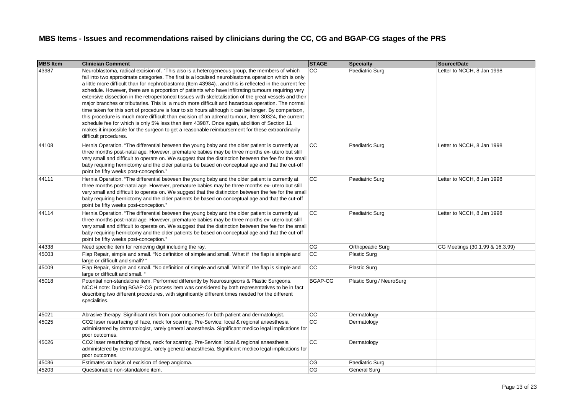| <b>MBS Item</b> | <b>Clinician Comment</b>                                                                                                                                                                                                                                                                                                                                                                                                                                                                                                                                                                                                                                                                                                                                                                                                                                                                                                                                                                                                                                                      | <b>STAGE</b>    | <b>Specialty</b>         | Source/Date                     |
|-----------------|-------------------------------------------------------------------------------------------------------------------------------------------------------------------------------------------------------------------------------------------------------------------------------------------------------------------------------------------------------------------------------------------------------------------------------------------------------------------------------------------------------------------------------------------------------------------------------------------------------------------------------------------------------------------------------------------------------------------------------------------------------------------------------------------------------------------------------------------------------------------------------------------------------------------------------------------------------------------------------------------------------------------------------------------------------------------------------|-----------------|--------------------------|---------------------------------|
| 43987           | Neuroblastoma, radical excision of. "This also is a heterogeneous group, the members of which<br>fall into two approximate categories. The first is a localised neuroblastoma operation which is only<br>a little more difficult than for nephroblastoma (Item 43984)., and this is reflected in the current fee<br>schedule. However, there are a proportion of patients who have infiltrating tumours requiring very<br>extensive dissection in the retroperitoneal tissues with skeletalisation of the great vessels and their<br>major branches or tributaries. This is a much more difficult and hazardous operation. The normal<br>time taken for this sort of procedure is four to six hours although it can be longer. By comparison,<br>this procedure is much more difficult than excision of an adrenal tumour, Item 30324, the current<br>schedule fee for which is only 5% less than item 43987. Once again, abolition of Section 11<br>makes it impossible for the surgeon to get a reasonable reimbursement for these extraordinarily<br>difficult procedures. | CC.             | Paediatric Surg          | Letter to NCCH, 8 Jan 1998      |
| 44108           | Hernia Operation. "The differential between the young baby and the older patient is currently at<br>three months post-natal age. However, premature babies may be three months ex- utero but still<br>very small and difficult to operate on. We suggest that the distinction between the fee for the small<br>baby requiring herniotomy and the older patients be based on conceptual age and that the cut-off<br>point be fifty weeks post-conception."                                                                                                                                                                                                                                                                                                                                                                                                                                                                                                                                                                                                                     | СC              | Paediatric Surg          | Letter to NCCH, 8 Jan 1998      |
| 44111           | Hernia Operation. "The differential between the young baby and the older patient is currently at<br>three months post-natal age. However, premature babies may be three months ex- utero but still<br>very small and difficult to operate on. We suggest that the distinction between the fee for the small<br>baby requiring herniotomy and the older patients be based on conceptual age and that the cut-off<br>point be fifty weeks post-conception."                                                                                                                                                                                                                                                                                                                                                                                                                                                                                                                                                                                                                     | CC              | Paediatric Surg          | Letter to NCCH, 8 Jan 1998      |
| 44114           | Hernia Operation. "The differential between the young baby and the older patient is currently at<br>three months post-natal age. However, premature babies may be three months ex- utero but still<br>very small and difficult to operate on. We suggest that the distinction between the fee for the small<br>baby requiring herniotomy and the older patients be based on conceptual age and that the cut-off<br>point be fifty weeks post-conception."                                                                                                                                                                                                                                                                                                                                                                                                                                                                                                                                                                                                                     | <b>CC</b>       | Paediatric Surg          | Letter to NCCH, 8 Jan 1998      |
| 44338           | Need specific item for removing digit including the ray.                                                                                                                                                                                                                                                                                                                                                                                                                                                                                                                                                                                                                                                                                                                                                                                                                                                                                                                                                                                                                      | CG              | Orthopeadic Surg         | CG Meetings (30.1.99 & 16.3.99) |
| 45003           | Flap Repair, simple and small. "No definition of simple and small. What if the flap is simple and<br>large or difficult and small? "                                                                                                                                                                                                                                                                                                                                                                                                                                                                                                                                                                                                                                                                                                                                                                                                                                                                                                                                          | <b>CC</b>       | <b>Plastic Surg</b>      |                                 |
| 45009           | Flap Repair, simple and small. "No definition of simple and small. What if the flap is simple and<br>large or difficult and small. "                                                                                                                                                                                                                                                                                                                                                                                                                                                                                                                                                                                                                                                                                                                                                                                                                                                                                                                                          | CC              | <b>Plastic Surg</b>      |                                 |
| 45018           | Potential non-standalone item. Performed differently by Neurosurgeons & Plastic Surgeons.<br>NCCH note: During BGAP-CG process item was considered by both representatives to be in fact<br>describing two different procedures, with significantly different times needed for the different<br>specialities.                                                                                                                                                                                                                                                                                                                                                                                                                                                                                                                                                                                                                                                                                                                                                                 | BGAP-CG         | Plastic Surg / NeuroSurg |                                 |
| 45021           | Abrasive therapy. Significant risk from poor outcomes for both patient and dermatologist.                                                                                                                                                                                                                                                                                                                                                                                                                                                                                                                                                                                                                                                                                                                                                                                                                                                                                                                                                                                     | <b>CC</b>       | Dermatology              |                                 |
| 45025           | CO2 laser resurfacing of face, neck for scarring. Pre-Service: local & regional anaesthesia<br>administered by dermatologist, rarely general anaesthesia. Significant medico legal implications for<br>poor outcomes.                                                                                                                                                                                                                                                                                                                                                                                                                                                                                                                                                                                                                                                                                                                                                                                                                                                         | $\overline{cc}$ | Dermatology              |                                 |
| 45026           | CO2 laser resurfacing of face, neck for scarring. Pre-Service: local & regional anaesthesia<br>administered by dermatologist, rarely general anaesthesia. Significant medico legal implications for<br>poor outcomes.                                                                                                                                                                                                                                                                                                                                                                                                                                                                                                                                                                                                                                                                                                                                                                                                                                                         | <b>CC</b>       | Dermatology              |                                 |
| 45036           | Estimates on basis of excision of deep angioma.                                                                                                                                                                                                                                                                                                                                                                                                                                                                                                                                                                                                                                                                                                                                                                                                                                                                                                                                                                                                                               | CG              | Paediatric Surg          |                                 |
| 45203           | Questionable non-standalone item.                                                                                                                                                                                                                                                                                                                                                                                                                                                                                                                                                                                                                                                                                                                                                                                                                                                                                                                                                                                                                                             | CG              | <b>General Surg</b>      |                                 |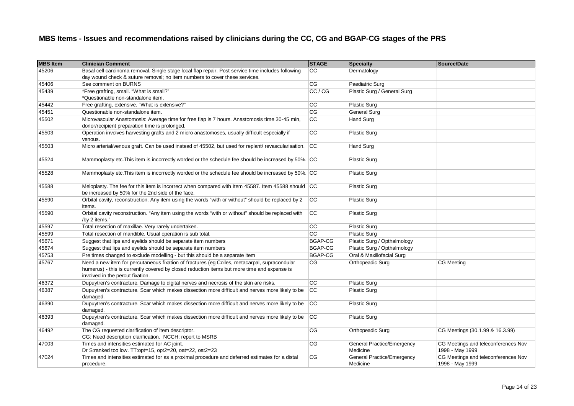| <b>MBS Item</b> | <b>Clinician Comment</b>                                                                                                                                                                                                        | <b>STAGE</b>   | Specialty                                     | Source/Date                                            |
|-----------------|---------------------------------------------------------------------------------------------------------------------------------------------------------------------------------------------------------------------------------|----------------|-----------------------------------------------|--------------------------------------------------------|
| 45206           | Basal cell carcinoma removal. Single stage local flap repair. Post service time includes following                                                                                                                              | CC             | Dermatology                                   |                                                        |
|                 | day wound check & suture removal; no item numbers to cover these services.                                                                                                                                                      |                |                                               |                                                        |
| 45406           | See comment on BURNS                                                                                                                                                                                                            | CG             | Paediatric Surg                               |                                                        |
| 45439           | *Free grafting, small. "What is small?"                                                                                                                                                                                         | CC / CG        | Plastic Surg / General Surg                   |                                                        |
|                 | *Questionable non-standalone item.                                                                                                                                                                                              |                |                                               |                                                        |
| 45442           | Free grafting, extensive. "What is extensive?"                                                                                                                                                                                  | <b>CC</b>      | <b>Plastic Surg</b>                           |                                                        |
| 45451           | Questionable non-standalone item.                                                                                                                                                                                               | <b>CG</b>      | General Surg                                  |                                                        |
| 45502           | Microvascular Anastomosis: Average time for free flap is 7 hours. Anastomosis time 30-45 min,                                                                                                                                   | cc             | <b>Hand Surg</b>                              |                                                        |
|                 | donor/recipient preparation time is prolonged.                                                                                                                                                                                  |                |                                               |                                                        |
| 45503           | Operation involves harvesting grafts and 2 micro anastomoses, usually difficult especially if<br>venous.                                                                                                                        | CC             | Plastic Surg                                  |                                                        |
| 45503           | Micro arterial/venous graft. Can be used instead of 45502, but used for replant/ revascularisation.                                                                                                                             | CC             | Hand Surg                                     |                                                        |
| 45524           | Mammoplasty etc. This item is incorrectly worded or the schedule fee should be increased by 50%. CC                                                                                                                             |                | <b>Plastic Surg</b>                           |                                                        |
| 45528           | Mammoplasty etc. This item is incorrectly worded or the schedule fee should be increased by 50%. CC                                                                                                                             |                | <b>Plastic Surg</b>                           |                                                        |
| 45588           | Meloplasty. The fee for this item is incorrect when compared with Item 45587. Item 45588 should CC<br>be increased by 50% for the 2nd side of the face.                                                                         |                | <b>Plastic Surg</b>                           |                                                        |
| 45590           | Orbital cavity, reconstruction. Any item using the words "with or without" should be replaced by 2<br>items.                                                                                                                    | cc             | <b>Plastic Surg</b>                           |                                                        |
| 45590           | Orbital cavity reconstruction. "Any item using the words "with or without" should be replaced with<br>/by 2 items."                                                                                                             | cc             | <b>Plastic Surg</b>                           |                                                        |
| 45597           | Total resection of maxillae. Very rarely undertaken.                                                                                                                                                                            | <b>CC</b>      | <b>Plastic Surg</b>                           |                                                        |
| 45599           | Total resection of mandible. Usual operation is sub total.                                                                                                                                                                      | cc             | <b>Plastic Surg</b>                           |                                                        |
| 45671           | Suggest that lips and eyelids should be separate item numbers                                                                                                                                                                   | <b>BGAP-CG</b> | Plastic Surg / Opthalmology                   |                                                        |
| 45674           | Suggest that lips and eyelids should be separate item numbers                                                                                                                                                                   | <b>BGAP-CG</b> | Plastic Surg / Opthalmology                   |                                                        |
| 45753           | Pre times changed to exclude modelling - but this should be a separate item                                                                                                                                                     | <b>BGAP-CG</b> | Oral & Maxillofacial Surg                     |                                                        |
| 45767           | Need a new item for percutaneous fixation of fractures (eg Colles, metacarpal, supracondular<br>humerus) - this is currently covered by closed reduction items but more time and expense is<br>involved in the percut fixation. | CG             | Orthopeadic Surg                              | CG Meeting                                             |
| 46372           | Dupuytren's contracture. Damage to digital nerves and necrosis of the skin are risks.                                                                                                                                           | <b>CC</b>      | <b>Plastic Surg</b>                           |                                                        |
| 46387           | Dupuytren's contracture. Scar which makes dissection more difficult and nerves more likely to be<br>damaged.                                                                                                                    | <b>CC</b>      | <b>Plastic Surg</b>                           |                                                        |
| 46390           | Dupuytren's contracture. Scar which makes dissection more difficult and nerves more likely to be<br>damaged.                                                                                                                    | <b>CC</b>      | <b>Plastic Surg</b>                           |                                                        |
| 46393           | Dupuytren's contracture. Scar which makes dissection more difficult and nerves more likely to be<br>damaged.                                                                                                                    | cc             | <b>Plastic Surg</b>                           |                                                        |
| 46492           | The CG requested clarification of item descriptor.<br>CG: Need description clarification. NCCH: report to MSRB                                                                                                                  | CG             | Orthopeadic Surg                              | CG Meetings (30.1.99 & 16.3.99)                        |
| 47003           | Times and intensities estimated for AC joint.<br>Dr S:ranked too low. TT:opt=15, opt2=20, oat=22, oat2=23                                                                                                                       | CG             | <b>General Practice/Emergency</b><br>Medicine | CG Meetings and teleconferences Nov<br>1998 - May 1999 |
| 47024           | Times and intensities estimated for as a proximal procedure and deferred estimates for a distal<br>procedure.                                                                                                                   | CG             | <b>General Practice/Emergency</b><br>Medicine | CG Meetings and teleconferences Nov<br>1998 - May 1999 |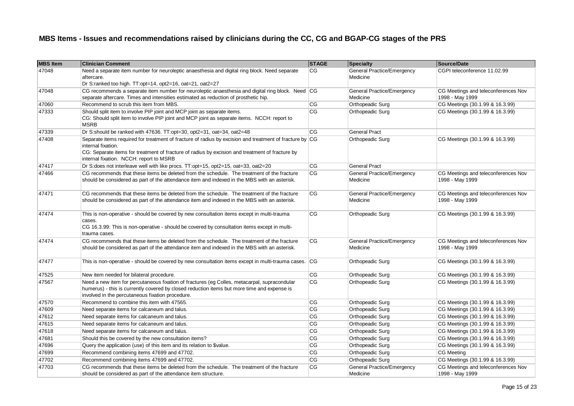| <b>MBS Item</b> | <b>Clinician Comment</b>                                                                                                                                                                                                                                                    | <b>STAGE</b>           | <b>Specialty</b>                              | Source/Date                                            |
|-----------------|-----------------------------------------------------------------------------------------------------------------------------------------------------------------------------------------------------------------------------------------------------------------------------|------------------------|-----------------------------------------------|--------------------------------------------------------|
| 47048           | Need a separate item number for neuroleptic anaesthesia and digital ring block. Need separate<br>aftercare.<br>Dr S:ranked too high. TT:opt=14, opt2=16, oat=21, oat2=27                                                                                                    | CG                     | General Practice/Emergency<br>Medicine        | CGPI teleconference 11.02.99                           |
| 47048           | CG recommends a separate item number for neuroleptic anaesthesia and digital ring block. Need $ CG $<br>separate aftercare. Times and intensities estimated as reduction of prosthetic hip.                                                                                 |                        | <b>General Practice/Emergency</b><br>Medicine | CG Meetings and teleconferences Nov<br>1998 - May 1999 |
| 47060           | Recommend to scrub this item from MBS.                                                                                                                                                                                                                                      | CG                     | Orthopeadic Surg                              | CG Meetings (30.1.99 & 16.3.99)                        |
| 47333           | Should split item to involve PIP joint and MCP joint as separate items.<br>CG: Should split item to involve PIP joint and MCP joint as separate items. NCCH: report to<br><b>MSRB</b>                                                                                       | CG                     | Orthopeadic Surg                              | CG Meetings (30.1.99 & 16.3.99)                        |
| 47339           | Dr S:should be ranked with 47636. TT:opt=30, opt2=31, oat=34, oat2=48                                                                                                                                                                                                       | CG                     | <b>General Pract</b>                          |                                                        |
| 47408           | Separate items required for treatment of fracture of radius by excision and treatment of fracture by CG<br>internal fixation.<br>CG: Separate items for treatment of fracture of radius by excision and treatment of fracture by<br>internal fixation. NCCH: report to MSRB |                        | Orthopeadic Surg                              | CG Meetings (30.1.99 & 16.3.99)                        |
| 47417           | Dr S:does not interleave well with like procs. TT:opt=15, opt2=15, oat=33, oat2=20                                                                                                                                                                                          | CG                     | <b>General Pract</b>                          |                                                        |
| 47466           | CG recommends that these items be deleted from the schedule. The treatment of the fracture<br>should be considered as part of the attendance item and indexed in the MBS with an asterisk.                                                                                  | CG                     | General Practice/Emergency<br>Medicine        | CG Meetings and teleconferences Nov<br>1998 - May 1999 |
| 47471           | CG recommends that these items be deleted from the schedule. The treatment of the fracture<br>should be considered as part of the attendance item and indexed in the MBS with an asterisk.                                                                                  | CG                     | General Practice/Emergency<br>Medicine        | CG Meetings and teleconferences Nov<br>1998 - May 1999 |
| 47474           | This is non-operative - should be covered by new consultation items except in multi-trauma<br>cases.<br>CG 16.3.99: This is non-operative - should be covered by consultation items except in multi-<br>trauma cases.                                                       | CG                     | Orthopeadic Surg                              | CG Meetings (30.1.99 & 16.3.99)                        |
| 47474           | CG recommends that these items be deleted from the schedule. The treatment of the fracture<br>should be considered as part of the attendance item and indexed in the MBS with an asterisk.                                                                                  | CG                     | General Practice/Emergency<br>Medicine        | CG Meetings and teleconferences Nov<br>1998 - May 1999 |
| 47477           | This is non-operative - should be covered by new consultation items except in multi-trauma cases.                                                                                                                                                                           | <b>CG</b>              | Orthopeadic Surg                              | CG Meetings (30.1.99 & 16.3.99)                        |
| 47525           | New item needed for bilateral procedure.                                                                                                                                                                                                                                    | CG                     | Orthopeadic Surg                              | CG Meetings (30.1.99 & 16.3.99)                        |
| 47567           | Need a new item for percutaneous fixation of fractures (eg Colles, metacarpal, supracondular<br>humerus) - this is currently covered by closed reduction items but more time and expense is<br>involved in the percutaneous fixation procedure.                             | CG                     | Orthopeadic Surg                              | CG Meetings (30.1.99 & 16.3.99)                        |
| 47570           | Recommend to combine this item with 47565.                                                                                                                                                                                                                                  | CG                     | Orthopeadic Surg                              | CG Meetings (30.1.99 & 16.3.99)                        |
| 47609           | Need separate items for calcaneum and talus.                                                                                                                                                                                                                                | CG                     | Orthopeadic Surg                              | CG Meetings (30.1.99 & 16.3.99)                        |
| 47612           | Need separate items for calcaneum and talus.                                                                                                                                                                                                                                | CG                     | Orthopeadic Surg                              | CG Meetings (30.1.99 & 16.3.99)                        |
| 47615           | Need separate items for calcaneum and talus.                                                                                                                                                                                                                                | CG                     | Orthopeadic Surg                              | CG Meetings (30.1.99 & 16.3.99)                        |
| 47618           | Need separate items for calcaneum and talus.                                                                                                                                                                                                                                | CG                     | Orthopeadic Surg                              | CG Meetings (30.1.99 & 16.3.99)                        |
| 47681           | Should this be covered by the new consultation items?                                                                                                                                                                                                                       | CG                     | Orthopeadic Surg                              | CG Meetings (30.1.99 & 16.3.99)                        |
| 47696           | Query the application (use) of this item and its relation to \$value.                                                                                                                                                                                                       | CG                     | Orthopeadic Surg                              | CG Meetings (30.1.99 & 16.3.99)                        |
| 47699           | Recommend combining items 47699 and 47702.                                                                                                                                                                                                                                  | CG                     | Orthopeadic Surg                              | CG Meeting                                             |
| 47702           | Recommend combining items 47699 and 47702.                                                                                                                                                                                                                                  | $\overline{\text{CG}}$ | Orthopeadic Surg                              | CG Meetings (30.1.99 & 16.3.99)                        |
| 47703           | CG recommends that these items be deleted from the schedule. The treatment of the fracture<br>should be considered as part of the attendance item structure.                                                                                                                | CG                     | General Practice/Emergency<br>Medicine        | CG Meetings and teleconferences Nov<br>1998 - May 1999 |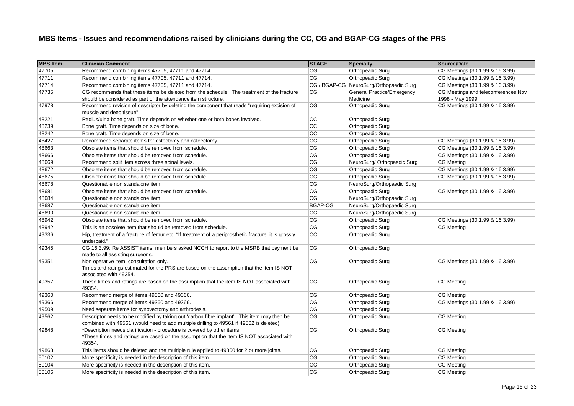| <b>MBS Item</b> | <b>Clinician Comment</b>                                                                                                                                                               | <b>STAGE</b>    | <b>Specialty</b>                              | Source/Date                                            |
|-----------------|----------------------------------------------------------------------------------------------------------------------------------------------------------------------------------------|-----------------|-----------------------------------------------|--------------------------------------------------------|
| 47705           | Recommend combining items 47705, 47711 and 47714.                                                                                                                                      | СG              | Orthopeadic Surg                              | CG Meetings (30.1.99 & 16.3.99)                        |
| 47711           | Recommend combining items 47705, 47711 and 47714.                                                                                                                                      | CG              | Orthopeadic Surg                              | CG Meetings (30.1.99 & 16.3.99)                        |
| 47714           | Recommend combining items 47705, 47711 and 47714.                                                                                                                                      |                 | CG / BGAP-CG NeuroSurg/Orthopaedic Surg       | CG Meetings (30.1.99 & 16.3.99)                        |
| 47735           | CG recommends that these items be deleted from the schedule. The treatment of the fracture<br>should be considered as part of the attendance item structure.                           | СG              | <b>General Practice/Emergency</b><br>Medicine | CG Meetings and teleconferences Nov<br>1998 - May 1999 |
| 47978           | Recommend revision of descriptor by deleting the component that reads "requiring excision of<br>muscle and deep tissue".                                                               | СG              | Orthopeadic Surg                              | CG Meetings (30.1.99 & 16.3.99)                        |
| 48221           | Radius/ulna bone graft. Time depends on whether one or both bones involved.                                                                                                            | CC              | Orthopeadic Surg                              |                                                        |
| 48239           | Bone graft. Time depends on size of bone.                                                                                                                                              | $\overline{cc}$ | Orthopeadic Surg                              |                                                        |
| 48242           | Bone graft. Time depends on size of bone.                                                                                                                                              | $\overline{cc}$ | Orthopeadic Surg                              |                                                        |
| 48427           | Recommend separate items for osteotomy and osteectomy.                                                                                                                                 | CG              | Orthopeadic Surg                              | CG Meetings (30.1.99 & 16.3.99)                        |
| 48663           | Obsolete items that should be removed from schedule.                                                                                                                                   | CG              | Orthopeadic Surg                              | CG Meetings (30.1.99 & 16.3.99)                        |
| 48666           | Obsolete items that should be removed from schedule.                                                                                                                                   | CG              | Orthopeadic Surg                              | CG Meetings (30.1.99 & 16.3.99)                        |
| 48669           | Recommend split item across three spinal levels.                                                                                                                                       | CG              | NeuroSurg/ Orthopaedic Surg                   | <b>CG</b> Meeting                                      |
| 48672           | Obsolete items that should be removed from schedule.                                                                                                                                   | CG              | Orthopeadic Surg                              | CG Meetings (30.1.99 & 16.3.99)                        |
| 48675           | Obsolete items that should be removed from schedule.                                                                                                                                   | CG              | Orthopeadic Surg                              | CG Meetings (30.1.99 & 16.3.99)                        |
| 48678           | Questionable non standalone item                                                                                                                                                       | CG              | NeuroSurg/Orthopaedic Surg                    |                                                        |
| 48681           | Obsolete items that should be removed from schedule.                                                                                                                                   | CG              | Orthopeadic Surg                              | CG Meetings (30.1.99 & 16.3.99)                        |
| 48684           | Questionable non standalone item                                                                                                                                                       | CG              | NeuroSurg/Orthopaedic Surg                    |                                                        |
| 48687           | Questionable non standalone item                                                                                                                                                       | BGAP-CG         | NeuroSurg/Orthopaedic Surg                    |                                                        |
| 48690           | Questionable non standalone item                                                                                                                                                       | СG              | NeuroSurg/Orthopaedic Surg                    |                                                        |
| 48942           | Obsolete items that should be removed from schedule.                                                                                                                                   | CG              | Orthopeadic Surg                              | CG Meetings (30.1.99 & 16.3.99)                        |
| 48942           | This is an obsolete item that should be removed from schedule.                                                                                                                         | CG              | Orthopeadic Surg                              | <b>CG Meeting</b>                                      |
| 49336           | Hip, treatment of a fracture of femur etc. "If treatment of a periprosthetic fracture, it is grossly<br>underpaid."                                                                    | $\overline{cc}$ | <b>Orthopeadic Surg</b>                       |                                                        |
| 49345           | CG 16.3.99: Re ASSIST items, members asked NCCH to report to the MSRB that payment be<br>made to all assisting surgeons.                                                               | CG              | Orthopeadic Surg                              |                                                        |
| 49351           | Non operative item, consultation only.<br>Times and ratings estimated for the PRS are based on the assumption that the item IS NOT<br>associated with 49354.                           | CG              | Orthopeadic Surg                              | CG Meetings (30.1.99 & 16.3.99)                        |
| 49357           | These times and ratings are based on the assumption that the item IS NOT associated with<br>49354.                                                                                     | CG              | Orthopeadic Surg                              | <b>CG Meeting</b>                                      |
| 49360           | Recommend merge of items 49360 and 49366.                                                                                                                                              | CG              | Orthopeadic Surg                              | <b>CG Meeting</b>                                      |
| 49366           | Recommend merge of items 49360 and 49366.                                                                                                                                              | CG              | Orthopeadic Surg                              | CG Meetings (30.1.99 & 16.3.99)                        |
| 49509           | Need separate items for synovectomy and arthrodesis.                                                                                                                                   | CG              | Orthopeadic Surg                              |                                                        |
| 49562           | Descriptor needs to be modified by taking out 'carbon fibre implant'. This item may then be<br>combined with 49561 (would need to add multiple drilling to 49561 if 49562 is deleted). | CG              | Orthopeadic Surg                              | <b>CG Meeting</b>                                      |
| 49848           | *Description needs clarification - procedure is covered by other items.<br>*These times and ratings are based on the assumption that the item IS NOT associated with<br>49354.         | CG              | Orthopeadic Surg                              | CG Meeting                                             |
| 49863           | This items should be deleted and the multiple rule applied to 49860 for 2 or more joints.                                                                                              | СG              | Orthopeadic Surg                              | <b>CG Meeting</b>                                      |
| 50102           | More specificity is needed in the description of this item.                                                                                                                            | CG              | Orthopeadic Surg                              | <b>CG Meeting</b>                                      |
| 50104           | More specificity is needed in the description of this item.                                                                                                                            | CG              | Orthopeadic Surg                              | CG Meeting                                             |
| 50106           | More specificity is needed in the description of this item.                                                                                                                            | CG              | Orthopeadic Surg                              | <b>CG Meeting</b>                                      |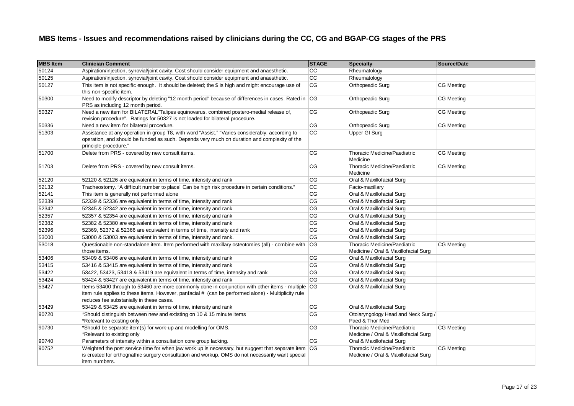| <b>MBS Item</b> | <b>Clinician Comment</b>                                                                                                                                                                                                                             | <b>STAGE</b>    | Specialty                                                                   | Source/Date       |
|-----------------|------------------------------------------------------------------------------------------------------------------------------------------------------------------------------------------------------------------------------------------------------|-----------------|-----------------------------------------------------------------------------|-------------------|
| 50124           | Aspiration/injection, synovial/joint cavity. Cost should consider equipment and anaesthetic.                                                                                                                                                         | CC              | Rheumatology                                                                |                   |
| 50125           | Aspiration/injection, synovial/joint cavity. Cost should consider equipment and anaesthetic.                                                                                                                                                         | $\overline{cc}$ | Rheumatology                                                                |                   |
| 50127           | This item is not specific enough. It should be deleted; the \$ is high and might encourage use of<br>this non-specific item.                                                                                                                         | CG              | Orthopeadic Surg                                                            | <b>CG Meeting</b> |
| 50300           | Need to modify descriptor by deleting "12 month period" because of differences in cases. Rated in CG<br>PRS as including 12 month period.                                                                                                            |                 | Orthopeadic Surg                                                            | <b>CG Meeting</b> |
| 50327           | Need a new item for BILATERAL"Talipes equinovarus, combined postero-medial release of,<br>revision procedure". Ratings for 50327 is not loaded for bilateral procedure.                                                                              | CG              | Orthopeadic Surg                                                            | CG Meeting        |
| 50336           | Need a new item for bilateral procedure.                                                                                                                                                                                                             | <b>CG</b>       | Orthopeadic Surg                                                            | CG Meeting        |
| 51303           | Assistance at any operation in group T8, with word "Assist." "Varies considerably, according to<br>operation, and should be funded as such. Depends very much on duration and complexity of the<br>principle procedure."                             | <b>CC</b>       | <b>Upper GI Surg</b>                                                        |                   |
| 51700           | Delete from PRS - covered by new consult items.                                                                                                                                                                                                      | CG              | Thoracic Medicine/Paediatric<br>Medicine                                    | CG Meeting        |
| 51703           | Delete from PRS - covered by new consult items.                                                                                                                                                                                                      | CG              | <b>Thoracic Medicine/Paediatric</b><br>Medicine                             | CG Meeting        |
| 52120           | 52120 & 52126 are equivalent in terms of time, intensity and rank                                                                                                                                                                                    | CG              | Oral & Maxillofacial Surg                                                   |                   |
| 52132           | Tracheostomy. "A difficult number to place! Can be high risk procedure in certain conditions."                                                                                                                                                       | CC              | Facio-maxillary                                                             |                   |
| 52141           | This item is generally not performed alone                                                                                                                                                                                                           | CG              | Oral & Maxillofacial Surg                                                   |                   |
| 52339           | 52339 & 52336 are equivalent in terms of time, intensity and rank                                                                                                                                                                                    | CG              | Oral & Maxillofacial Surg                                                   |                   |
| 52342           | 52345 & 52342 are equivalent in terms of time, intensity and rank                                                                                                                                                                                    | CG              | Oral & Maxillofacial Surg                                                   |                   |
| 52357           | 52357 & 52354 are equivalent in terms of time, intensity and rank                                                                                                                                                                                    | <b>CG</b>       | Oral & Maxillofacial Surg                                                   |                   |
| 52382           | 52382 & 52380 are equivalent in terms of time, intensity and rank                                                                                                                                                                                    | <b>CG</b>       | Oral & Maxillofacial Surg                                                   |                   |
| 52396           | 52369, 52372 & 52366 are equivalent in terms of time, intensity and rank                                                                                                                                                                             | CG              | Oral & Maxillofacial Surg                                                   |                   |
| 53000           | 53000 & 53003 are equivalent in terms of time, intensity and rank.                                                                                                                                                                                   | CG              | Oral & Maxillofacial Surg                                                   |                   |
| 53018           | Questionable non-standalone item. Item performed with maxillary osteotomies (all) - combine with CG<br>those items.                                                                                                                                  |                 | <b>Thoracic Medicine/Paediatric</b><br>Medicine / Oral & Maxillofacial Surg | CG Meeting        |
| 53406           | 53409 & 53406 are equivalent in terms of time, intensity and rank                                                                                                                                                                                    | CG              | Oral & Maxillofacial Surg                                                   |                   |
| 53415           | 53416 & 53415 are equivalent in terms of time, intensity and rank                                                                                                                                                                                    | CG              | Oral & Maxillofacial Surg                                                   |                   |
| 53422           | 53422, 53423, 53418 & 53419 are equivalent in terms of time, intensity and rank                                                                                                                                                                      | <b>CG</b>       | Oral & Maxillofacial Surg                                                   |                   |
| 53424           | 53424 & 53427 are equivalent in terms of time, intensity and rank                                                                                                                                                                                    | CG              | Oral & Maxillofacial Surg                                                   |                   |
| 53427           | Items 53400 through to 53460 are more commonly done in conjunction with other items - multiple CG<br>item rule applies to these items. However, panfacial # (can be performed alone) - Multiplicity rule<br>reduces fee substanially in these cases. |                 | Oral & Maxillofacial Surg                                                   |                   |
| 53429           | 53429 & 53425 are equivalent in terms of time, intensity and rank                                                                                                                                                                                    | CG              | Oral & Maxillofacial Surg                                                   |                   |
| 90720           | *Should distinguish between new and extisting on 10 & 15 minute items<br>*Relevant to existing only                                                                                                                                                  | CG              | Otolaryngology Head and Neck Surg /<br>Paed & Thor Med                      |                   |
| 90730           | *Should be separate item(s) for work-up and modelling for OMS.<br>*Relevant to existing only                                                                                                                                                         | CG              | Thoracic Medicine/Paediatric<br>Medicine / Oral & Maxillofacial Surg        | CG Meeting        |
| 90740           | Parameters of intensity within a consultation core group lacking.                                                                                                                                                                                    | CG              | Oral & Maxillofacial Surg                                                   |                   |
| 90752           | Weighted the post service time for when jaw work up is necessary, but suggest that separate item CG<br>is created for orthognathic surgery consultation and workup. OMS do not necessarily want special<br>item numbers.                             |                 | <b>Thoracic Medicine/Paediatric</b><br>Medicine / Oral & Maxillofacial Surg | <b>CG Meeting</b> |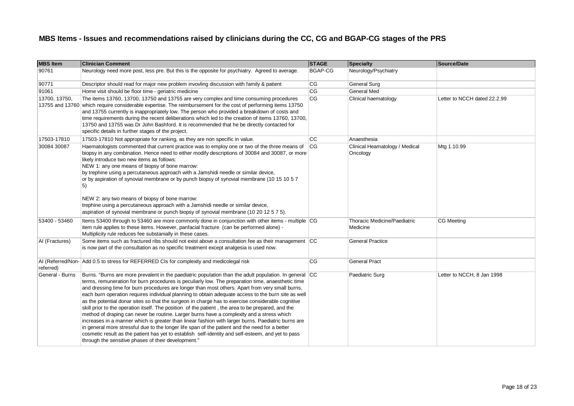| <b>MBS Item</b> | <b>Clinician Comment</b>                                                                                                                                                                                                                                                                                                                                                                                                                                                                                                                                                                                                                                                                                                                                                                                                                                                                                                                                                                                                                                                                           | <b>STAGE</b> | Specialty                                  | Source/Date                  |
|-----------------|----------------------------------------------------------------------------------------------------------------------------------------------------------------------------------------------------------------------------------------------------------------------------------------------------------------------------------------------------------------------------------------------------------------------------------------------------------------------------------------------------------------------------------------------------------------------------------------------------------------------------------------------------------------------------------------------------------------------------------------------------------------------------------------------------------------------------------------------------------------------------------------------------------------------------------------------------------------------------------------------------------------------------------------------------------------------------------------------------|--------------|--------------------------------------------|------------------------------|
| 90761           | Neurology need more post, less pre. But this is the opposite for psychiatry. Agreed to average.                                                                                                                                                                                                                                                                                                                                                                                                                                                                                                                                                                                                                                                                                                                                                                                                                                                                                                                                                                                                    | BGAP-CG      | Neurology/Psychiatry                       |                              |
| 90771           | Descriptor should read for major new problem invovling discussion with family & patient                                                                                                                                                                                                                                                                                                                                                                                                                                                                                                                                                                                                                                                                                                                                                                                                                                                                                                                                                                                                            | CG           | <b>General Surg</b>                        |                              |
| 91061           | Home visit should be floor time - geriatric medicine                                                                                                                                                                                                                                                                                                                                                                                                                                                                                                                                                                                                                                                                                                                                                                                                                                                                                                                                                                                                                                               | CG           | <b>General Med</b>                         |                              |
| 13700, 13750,   | The items 13760, 13700, 13750 and 13755 are very complex and time consuming procedures<br>13755 and 13760 which require considerable expertise. The reimbursement for the cost of performing items 13750<br>and 13755 currently is inappropriately low. The person who provided a breakdown of costs and<br>time requirements during the recent deliberations which led to the creation of items 13760, 13700,<br>13750 and 13755 was Dr John Bashford. It is recommended that he be directly contacted for<br>specific details in further stages of the project.                                                                                                                                                                                                                                                                                                                                                                                                                                                                                                                                  | CG           | Clinical haematology                       | Letter to NCCH dated 22.2.99 |
| 17503-17810     | 17503-17810 Not appropriate for ranking, as they are non specific in value.                                                                                                                                                                                                                                                                                                                                                                                                                                                                                                                                                                                                                                                                                                                                                                                                                                                                                                                                                                                                                        | <b>CC</b>    | Anaesthesia                                |                              |
| 30084 30087     | Haematologists commented that current practice was to employ one or two of the three means of<br>biopsy in any combination. Hence need to either modify descriptions of 30084 and 30087, or more<br>likely introduce two new items as follows:<br>NEW 1: any one means of biopsy of bone marrow:<br>by trephine using a percutaneous approach with a Jamshidi needle or similar device,<br>or by aspiration of synovial membrane or by punch biopsy of synovial membrane (10 15 10 5 7<br>5)<br>NEW 2: any two means of biopsy of bone marrow:<br>trephine using a percutaneous approach with a Jamshidi needle or similar device,<br>aspiration of synovial membrane or punch biopsy of synovial membrane (10 20 12 5 7 5).                                                                                                                                                                                                                                                                                                                                                                       | CG           | Clinical Heamatology / Medical<br>Oncology | Mtg 1.10.99                  |
| 53400 - 53460   | Items 53400 through to 53460 are more commonly done in conjunction with other items - multiple CG<br>item rule applies to these items. However, panfacial fracture (can be performed alone) -<br>Multiplicity rule reduces fee substanially in these cases.                                                                                                                                                                                                                                                                                                                                                                                                                                                                                                                                                                                                                                                                                                                                                                                                                                        |              | Thoracic Medicine/Paediatric<br>Medicine   | CG Meeting                   |
| AI (Fractures)  | Some items such as fractured ribs should not exist above a consultation fee as their management CC<br>is now part of the consultation as no specific treatment except analgesia is used now.                                                                                                                                                                                                                                                                                                                                                                                                                                                                                                                                                                                                                                                                                                                                                                                                                                                                                                       |              | <b>General Practice</b>                    |                              |
| referred)       | AI (Referred/Non- Add 0.5 to stress for REFERRED CIs for complexity and medicolegal risk                                                                                                                                                                                                                                                                                                                                                                                                                                                                                                                                                                                                                                                                                                                                                                                                                                                                                                                                                                                                           | <b>CG</b>    | <b>General Pract</b>                       |                              |
| General - Burns | Burns. "Burns are more prevalent in the paediatric population than the adult population. In general CC<br>terms, remuneration for burn procedures is peculiarly low. The preparation time, anaesthetic time<br>and dressing time for burn procedures are longer than most others. Apart from very small burns,<br>each burn operation requires individual planning to obtain adequate access to the burn site as well<br>as the potential donar sites so that the surgeon in charge has to exercise considerable cognitive<br>skill prior to the operation itself. The position of the patient, the area to be prepared, and the<br>method of draping can never be routine. Larger burns have a complexity and a stress which<br>increases in a manner which is greater than linear fashion with larger burns. Paediatric burns are<br>in general more stressful due to the longer life span of the patient and the need for a better<br>cosmetic result as the patient has yet to establish self-identity and self-esteem, and yet to pass<br>through the sensitive phases of their development." |              | Paediatric Surg                            | Letter to NCCH, 8 Jan 1998   |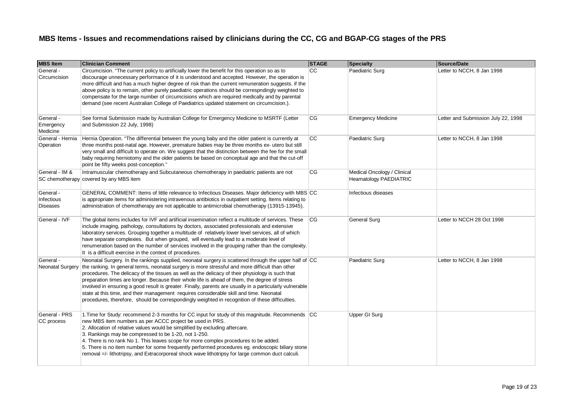| <b>MBS Item</b>                            | <b>Clinician Comment</b>                                                                                                                                                                                                                                                                                                                                                                                                                                                                                                                                                                                                                                                                                                 | <b>STAGE</b> | Specialty                                             | Source/Date                         |
|--------------------------------------------|--------------------------------------------------------------------------------------------------------------------------------------------------------------------------------------------------------------------------------------------------------------------------------------------------------------------------------------------------------------------------------------------------------------------------------------------------------------------------------------------------------------------------------------------------------------------------------------------------------------------------------------------------------------------------------------------------------------------------|--------------|-------------------------------------------------------|-------------------------------------|
| General -<br>Circumcision                  | Circumcision. "The current policy to artificially lower the benefit for this operation so as to<br>discourage unnecessary performance of it is understood and accepted. However, the operation is<br>more difficult and has a much higher degree of risk than the current remuneration suggests. if the<br>above policy is to remain, other purely paediatric operations should be correspndingly weighted to<br>compensate for the large number of circumcisions which are required medically and by parental<br>demand (see recent Australian College of Paediatrics updated statement on circumcision.).                                                                                                              | <b>CC</b>    | Paediatric Surg                                       | Letter to NCCH, 8 Jan 1998          |
| General -<br>Emergency<br>Medicine         | See formal Submission made by Australian College for Emergency Medicine to MSRTF (Letter<br>and Submission 22 July, 1998)                                                                                                                                                                                                                                                                                                                                                                                                                                                                                                                                                                                                | CG           | <b>Emergency Medicine</b>                             | Letter and Submission July 22, 1998 |
| General - Hernia<br>Operation              | Hernia Operation. "The differential between the young baby and the older patient is currently at<br>three months post-natal age. However, premature babies may be three months ex- utero but still<br>very small and difficult to operate on. We suggest that the distinction between the fee for the small<br>baby requiring herniotomy and the older patients be based on conceptual age and that the cut-off<br>point be fifty weeks post-conception."                                                                                                                                                                                                                                                                | <b>CC</b>    | Paediatric Surg                                       | Letter to NCCH, 8 Jan 1998          |
| General - IM &                             | Intramuscular chemotherapy and Subcutaneous chemotherapy in paediatric patients are not<br>SC chemotherapy covered by any MBS item                                                                                                                                                                                                                                                                                                                                                                                                                                                                                                                                                                                       | CG           | Medical Oncology / Clinical<br>Heamatology PAEDIATRIC |                                     |
| General -<br>Infectious<br><b>Diseases</b> | GENERAL COMMENT: Items of little relevance to Infectious Diseases. Major deficiency with MBS CC<br>is appropriate items for administering intravenous antibiotics in outpatient setting. Items relating to<br>administration of chemotherapy are not applicable to antimicrobial chemotherapy (13915-13945).                                                                                                                                                                                                                                                                                                                                                                                                             |              | Infectious diseases                                   |                                     |
| General - IVF                              | The global items includes for IVF and artificial insemination reflect a multitude of services. These<br>include imaging, pathology, consultations by doctors, associated professionals and extensive<br>laboratory services. Grouping together a multitude of relatively lower level services, all of which<br>have separate complexies. But when grouped, will eventually lead to a moderate level of<br>renumeration based on the number of services involved in the grouping rather than the complexity.<br>It is a difficult exercise in the context of procedures.                                                                                                                                                  | <b>CG</b>    | <b>General Surg</b>                                   | Letter to NCCH 28 Oct 1998          |
| General -<br>Neonatal Surgery              | Neonatal Surgery. In the rankings supplied, neonatal surgery is scattered through the upper half of CC<br>the ranking. In general terms, neonatal surgery is more stressful and more difficult than other<br>procedures. The delicacy of the tissues as well as the delicacy of their physiology is such that<br>preparation times are longer. Because their whole life is ahead of them, the degree of stress<br>involved in ensuring a good result is greater. Finally, parents are usually in a particularly vulnerable<br>state at this time, and their management requires considerable skill and time. Neonatal<br>procedures, therefore, should be correspondingly weighted in recognition of these difficulties. |              | Paediatric Surg                                       | Letter to NCCH, 8 Jan 1998          |
| General - PRS<br>CC process                | 1. Time for Study: recommend 2-3 months for CC input for study of this magnitude. Recommends CC<br>new MBS item numbers as per ACCC project be used in PRS.<br>2. Allocation of relative values would be simplified by excluding aftercare.<br>3. Rankings may be compressed to be 1-20, not 1-250.<br>4. There is no rank No 1. This leaves scope for more complex procedures to be added.<br>5. There is no item number for some frequently performed procedures eq. endoscopic biliary stone<br>removal =/- lithotripsy, and Extracorporeal shock wave lithotripsy for large common duct calculi.                                                                                                                     |              | <b>Upper GI Surg</b>                                  |                                     |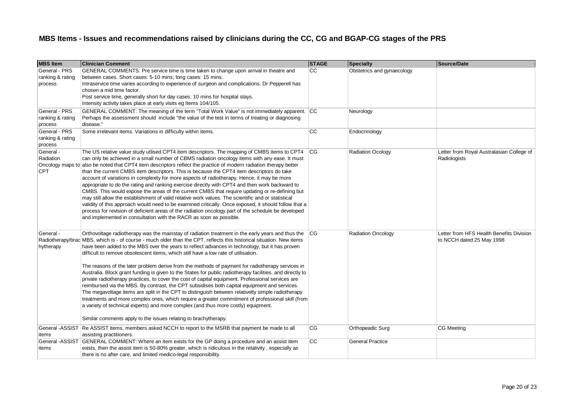| <b>MBS Item</b>                              | <b>Clinician Comment</b>                                                                                                                                                                                                                                                                                                                                                                                                                                                                                                                                                                                                                                                                                                                                                                                                                                                                                                                                                                                                                                                                                                                                                                                  | <b>STAGE</b> | <b>Specialty</b>           | Source/Date                                                           |
|----------------------------------------------|-----------------------------------------------------------------------------------------------------------------------------------------------------------------------------------------------------------------------------------------------------------------------------------------------------------------------------------------------------------------------------------------------------------------------------------------------------------------------------------------------------------------------------------------------------------------------------------------------------------------------------------------------------------------------------------------------------------------------------------------------------------------------------------------------------------------------------------------------------------------------------------------------------------------------------------------------------------------------------------------------------------------------------------------------------------------------------------------------------------------------------------------------------------------------------------------------------------|--------------|----------------------------|-----------------------------------------------------------------------|
| General - PRS<br>ranking & rating<br>process | GENERAL COMMENTS: Pre service time is time taken to change upon arrival in theatre and<br>between cases. Short cases: 5-10 mins; long cases: 15 mins.<br>Intraservice time varies according to experience of surgeon and complications. Dr Pepperell has<br>chosen a mid time factor.<br>Post service time, generally short for day cases. 10 mins for hospital stays.<br>Intensity activity takes place at early visits eg Items 104/105.                                                                                                                                                                                                                                                                                                                                                                                                                                                                                                                                                                                                                                                                                                                                                                | <b>CC</b>    | Obstetrics and gynaecology |                                                                       |
| General - PRS<br>ranking & rating<br>process | GENERAL COMMENT: The meaning of the term "Total Work Value" is not immediately apparent. CC<br>Perhaps the assessment should include "the value of the test in terms of treating or diagnosing<br>disease."                                                                                                                                                                                                                                                                                                                                                                                                                                                                                                                                                                                                                                                                                                                                                                                                                                                                                                                                                                                               |              | Neurology                  |                                                                       |
| General - PRS<br>ranking & rating<br>process | Some irrelevant items. Variations in difficulty within items.                                                                                                                                                                                                                                                                                                                                                                                                                                                                                                                                                                                                                                                                                                                                                                                                                                                                                                                                                                                                                                                                                                                                             | <b>CC</b>    | Endocrinology              |                                                                       |
| General -<br>Radiation<br><b>CPT</b>         | The US relative value study utlised CPT4 item descriptors. The mapping of CMBS items to CPT4<br>can only be achieved in a small number of CBMS radiation oncology items with any ease. It must<br>Oncology maps to also be noted that CPT4 item descriptors reflect the practice of modern radiation therapy better<br>than the current CMBS item descriptors. This is because the CPT4 item descriptors do take<br>account of variations in complexity for more aspects of radiotherapy. Hence, it may be more<br>appropriate to do the rating and ranking exercise directly with CPT4 and then work backward to<br>CMBS. This would expose the areas of the current CMBS that require updating or re-defining but<br>may still allow the establishment of valid relative work values. The scientific and or statistical<br>validity of this approach would need to be examined critically. Once exposed, it should follow that a<br>process for revision of deficient areas of the radiation oncology part of the schedule be developed<br>and implemented in consultation with the RACR as soon as possible.                                                                                           | CG           | <b>Radiation Ocology</b>   | Letter from Royal Australasian College of<br>Radiologists             |
| General -<br>hytherapy                       | Orthovoltage radiotherapy was the mainstay of radiation treatment in the early years and thus the<br>Radiotherapy/brac MBS, which is - of course - much older than the CPT, reflects this historical situation. New items<br>have been added to the MBS over the years to reflect advances in technology, but it has proven<br>difficult to remove obsolescent items, which still have a low rate of utilisation.<br>The reasons of the later problem derive from the methods of payment for radiotherapy services in<br>Australia. Block grant funding is given to the States for public radiotherapy facilities, and directly to<br>private radiotherapy practices, to cover the cost of capital equipment. Professional services are<br>reimbursed via the MBS. By contrast, the CPT subsidises both capital equipment and services.<br>The megavoltage items are split in the CPT to distinguish between relativelty simple radiotherapy<br>treatments and more complex ones, which require a greater commitment of professional skill (from<br>a variety of technical experts) and more complex (and thus more costly) equipment.<br>Similar comments apply to the issues relating to brachytherapy. | CG           | <b>Radiation Oncology</b>  | Letter from HFS Health Benefits Division<br>to NCCH dated 25 May 1998 |
| items                                        | General -ASSIST Re ASSIST items, members asked NCCH to report to the MSRB that payment be made to all<br>assisting practitioners.                                                                                                                                                                                                                                                                                                                                                                                                                                                                                                                                                                                                                                                                                                                                                                                                                                                                                                                                                                                                                                                                         | <b>CG</b>    | Orthopeadic Surg           | CG Meeting                                                            |
| items                                        | General -ASSIST GENERAL COMMENT: Where an item exists for the GP doing a procedure and an assist item<br>exists, then the assist item is 50-80% greater, which is ridiculous in the relativity, especially as<br>there is no after care, and limited medico-legal responsibility.                                                                                                                                                                                                                                                                                                                                                                                                                                                                                                                                                                                                                                                                                                                                                                                                                                                                                                                         | cc           | <b>General Practice</b>    |                                                                       |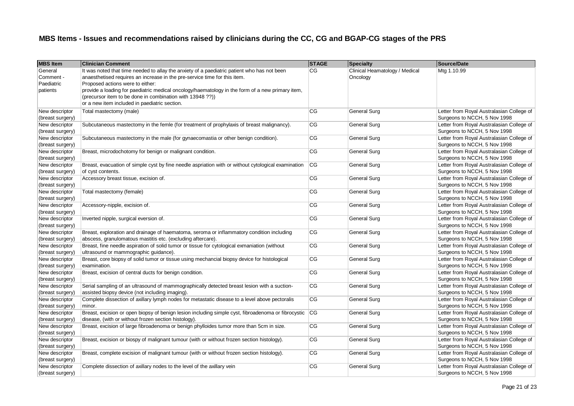| <b>MBS Item</b>                                | <b>Clinician Comment</b>                                                                                                                                                                                                                                                                                                                                                                                                       | <b>STAGE</b> | <b>Specialty</b>                           | Source/Date                                                               |
|------------------------------------------------|--------------------------------------------------------------------------------------------------------------------------------------------------------------------------------------------------------------------------------------------------------------------------------------------------------------------------------------------------------------------------------------------------------------------------------|--------------|--------------------------------------------|---------------------------------------------------------------------------|
| General<br>Comment -<br>Paediatric<br>patients | It was noted that time needed to allay the anxiety of a paediatric patient who has not been<br>anaesthetised requires an increase in the pre-service time for this item.<br>Proposed actions were to either:<br>provide a loading for paediatric medical oncology/haematology in the form of a new primary item,<br>(precursor item to be done in combination with 13948 ??))<br>or a new item included in paediatric section. | CG           | Clinical Heamatology / Medical<br>Oncology | Mtg 1.10.99                                                               |
| New descriptor<br>(breast surgery)             | Total mastectomy (male)                                                                                                                                                                                                                                                                                                                                                                                                        | CG           | General Surg                               | Letter from Royal Australasian College of<br>Surgeons to NCCH, 5 Nov 1998 |
| New descriptor<br>(breast surgery)             | Subcutaneous mastectomy in the femle (for treatment of prophylaxis of breast malignancy).                                                                                                                                                                                                                                                                                                                                      | CG           | General Surg                               | Letter from Royal Australasian College of<br>Surgeons to NCCH, 5 Nov 1998 |
| New descriptor<br>(breast surgery)             | Subcutaneous mastectomy in the male (for gynaecomastia or other benign condition).                                                                                                                                                                                                                                                                                                                                             | CG           | <b>General Surg</b>                        | Letter from Royal Australasian College of<br>Surgeons to NCCH, 5 Nov 1998 |
| New descriptor<br>(breast surgery)             | Breast, microdochotomy for benign or malignant condition.                                                                                                                                                                                                                                                                                                                                                                      | CG           | General Surg                               | Letter from Royal Australasian College of<br>Surgeons to NCCH, 5 Nov 1998 |
| New descriptor<br>(breast surgery)             | Breast, evacuation of simple cyst by fine needle aspriation with or without cytological examination<br>of cyst contents.                                                                                                                                                                                                                                                                                                       | <b>CG</b>    | <b>General Surg</b>                        | Letter from Royal Australasian College of<br>Surgeons to NCCH, 5 Nov 1998 |
| New descriptor<br>(breast surgery)             | Accessory breast tissue, excision of.                                                                                                                                                                                                                                                                                                                                                                                          | CG           | General Surg                               | Letter from Royal Australasian College of<br>Surgeons to NCCH, 5 Nov 1998 |
| New descriptor<br>(breast surgery)             | Total mastectomy (female)                                                                                                                                                                                                                                                                                                                                                                                                      | CG           | General Surg                               | Letter from Royal Australasian College of<br>Surgeons to NCCH, 5 Nov 1998 |
| New descriptor<br>(breast surgery)             | Accessory-nipple, excision of.                                                                                                                                                                                                                                                                                                                                                                                                 | CG           | General Surg                               | Letter from Royal Australasian College of<br>Surgeons to NCCH, 5 Nov 1998 |
| New descriptor<br>(breast surgery)             | Inverted nipple, surgical eversion of.                                                                                                                                                                                                                                                                                                                                                                                         | CG           | General Surg                               | Letter from Royal Australasian College of<br>Surgeons to NCCH, 5 Nov 1998 |
| New descriptor<br>(breast surgery)             | Breast, exploration and drainage of haematoma, seroma or inflammatory condition including<br>abscess, granulomatous mastitis etc. (excluding aftercare).                                                                                                                                                                                                                                                                       | CG           | <b>General Surg</b>                        | Letter from Royal Australasian College of<br>Surgeons to NCCH, 5 Nov 1998 |
| New descriptor<br>(breast surgery)             | Breast, fine needle aspiration of solid tumor or tissue for cytological exmaniation (without<br>ultrasound or mammographic guidance).                                                                                                                                                                                                                                                                                          | CG           | General Surg                               | Letter from Royal Australasian College of<br>Surgeons to NCCH, 5 Nov 1998 |
| New descriptor<br>(breast surgery)             | Breast, core biopsy of solid tumor or tissue using mechancial biopsy device for histological<br>examination.                                                                                                                                                                                                                                                                                                                   | CG           | General Surg                               | Letter from Royal Australasian College of<br>Surgeons to NCCH, 5 Nov 1998 |
| New descriptor<br>(breast surgery)             | Breast, excision of central ducts for benign condition.                                                                                                                                                                                                                                                                                                                                                                        | CG           | General Surg                               | Letter from Royal Australasian College of<br>Surgeons to NCCH, 5 Nov 1998 |
| New descriptor<br>(breast surgery)             | Serial sampling of an ultrasound of mammographically detected breast lesion with a suction-<br>assisted biopsy device (not including imaging).                                                                                                                                                                                                                                                                                 | CG           | General Surg                               | Letter from Royal Australasian College of<br>Surgeons to NCCH, 5 Nov 1998 |
| New descriptor<br>(breast surgery)             | Complete dissection of axillary lymph nodes for metastatic disease to a level above pectoralis<br>minor.                                                                                                                                                                                                                                                                                                                       | CG           | <b>General Surg</b>                        | Letter from Royal Australasian College of<br>Surgeons to NCCH, 5 Nov 1998 |
| New descriptor<br>(breast surgery)             | Breast, excision or open biopsy of benign lesion including simple cyst, fibroadenoma or fibrocystic<br>disease, (with or without frozen section histology).                                                                                                                                                                                                                                                                    | CG           | <b>General Surg</b>                        | Letter from Royal Australasian College of<br>Surgeons to NCCH, 5 Nov 1998 |
| New descriptor<br>(breast surgery)             | Breast, excision of large fibroadenoma or benign phylloides tumor more than 5cm in size.                                                                                                                                                                                                                                                                                                                                       | CG           | General Surg                               | Letter from Royal Australasian College of<br>Surgeons to NCCH, 5 Nov 1998 |
| New descriptor<br>(breast surgery)             | Breast, excision or biospy of malignant tumour (with or without frozen section histology).                                                                                                                                                                                                                                                                                                                                     | CG           | General Surg                               | Letter from Royal Australasian College of<br>Surgeons to NCCH, 5 Nov 1998 |
| New descriptor<br>(breast surgery)             | Breast, complete excision of malignant tumour (with or without frozen section histology).                                                                                                                                                                                                                                                                                                                                      | CG           | General Surg                               | Letter from Royal Australasian College of<br>Surgeons to NCCH, 5 Nov 1998 |
| New descriptor<br>(breast surgery)             | Complete dissection of axillary nodes to the level of the axillary vein                                                                                                                                                                                                                                                                                                                                                        | CG           | General Surg                               | Letter from Royal Australasian College of<br>Surgeons to NCCH, 5 Nov 1998 |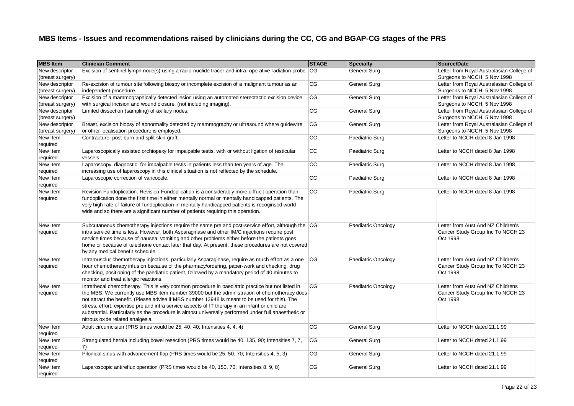| <b>MBS Item</b>  | <b>Clinician Comment</b>                                                                                 | <b>STAGE</b> | <b>Specialty</b>    | Source/Date                               |
|------------------|----------------------------------------------------------------------------------------------------------|--------------|---------------------|-------------------------------------------|
| New descriptor   | Excision of sentinel lymph node(s) using a radio-nuclide tracer and intra -operative radiation probe. CG |              | General Surg        | Letter from Royal Australasian College of |
| (breast surgery) |                                                                                                          |              |                     | Surgeons to NCCH, 5 Nov 1998              |
| New descriptor   | Re-excision of tumour site following biospy or incomplete excision of a malignant tumour as an           | CG           | General Surg        | Letter from Royal Australasian College of |
| (breast surgery) | independent procedure.                                                                                   |              |                     | Surgeons to NCCH, 5 Nov 1998              |
| New descriptor   | Excision of a mammographically detected lesion using an automated stereotactic excision device           | CG           | General Surg        | Letter from Royal Australasian College of |
| (breast surgery) | with surgical incision and wound closure, (not including imaging).                                       |              |                     | Surgeons to NCCH, 5 Nov 1998              |
| New descriptor   | Limited dissection (sampling) of axillary nodes.                                                         | CG           | General Surg        | Letter from Royal Australasian College of |
| (breast surgery) |                                                                                                          |              |                     | Surgeons to NCCH, 5 Nov 1998              |
| New descriptor   | Breast, excision biopsy of abnormality detected by mammography or ultrasound where guidewire             | CG           | General Surg        | Letter from Royal Australasian College of |
| (breast surgery) | or other localisation procedure is employed.                                                             |              |                     | Surgeons to NCCH, 5 Nov 1998              |
| New Item         | Contracture, post-burn and split skin graft.                                                             | cc           | Paediatric Surg     | Letter to NCCH dated 8 Jan 1998           |
| required         |                                                                                                          |              |                     |                                           |
| New Item         | Laparoscopically assisted orchiopexy for impalpable testis, with or without ligation of testicular       | CC           | Paediatric Surg     | Letter to NCCH dated 8 Jan 1998           |
| required         | vessels.                                                                                                 |              |                     |                                           |
| New Item         | Laparoscopy, diagnostic, for impalpable testis in patients less than ten years of age. The               | cc           | Paediatric Surg     | Letter to NCCH dated 8 Jan 1998           |
| required         | increasing use of laparoscopy in this clinical situation is not reflected by the schedule.               |              |                     |                                           |
| New Item         | Laparoscopic correction of varicocele.                                                                   | CC           | Paediatric Surg     | Letter to NCCH dated 8 Jan 1998           |
| required         |                                                                                                          |              |                     |                                           |
| New Item         | Revision Fundoplication. Revision Fundoplication is a considerably more diffucit operation than          | cc           | Paediatric Surg     | Letter to NCCH dated 8 Jan 1998           |
| required         | fundoplication done the first time in either mentally normal or mentally handicapped patients. The       |              |                     |                                           |
|                  | very high rate of failure of fundoplication in mentally handicapped patients is recoginsed world-        |              |                     |                                           |
|                  | wide and so there are a significant number of patients requiring this operation.                         |              |                     |                                           |
|                  |                                                                                                          |              |                     |                                           |
| New Item         | Subcutaneous chemotherapy injections require the same pre and post-service effort, although the CG       |              | Paediatric Oncology | Letter from Aust And NZ Children's        |
| required         | intra service time is less. However, both Asparaginase and other IM/C injections require post            |              |                     | Cancer Study Group Inc To NCCH 23         |
|                  | service times because of nausea, vomiting and other problems either before the patients goes             |              |                     | Oct 1998                                  |
|                  | home or because of telephone contact later that day. At present, these procedures are not covered        |              |                     |                                           |
|                  | by any medical benefit schedule.                                                                         |              |                     |                                           |
| New Item         | Intramusclur chemotherapy injections, particularly Asparaginase, require as much effort as a one         | <b>CG</b>    | Paediatric Oncology | Letter from Aust And NZ Children's        |
| required         | hour chemotherapy infusion because of the pharmacy/ordering, paper-work and checking, drug               |              |                     | Cancer Study Group Inc To NCCH 23         |
|                  | checking, positioning of the paediatric patient, followed by a mandatory period of 40 minutes to         |              |                     | Oct 1998                                  |
|                  | monitor and treat allergic reactions.                                                                    |              |                     |                                           |
| New Item         | Intrathecal chemotherapy. This is very common procedure in paediatric practice but not listed in         | <b>CG</b>    | Paediatric Oncology | Letter from Aust And NZ Childrens         |
| required         | the MBS. We currently use MBS item number 39000 but the administration of chemotherapy does              |              |                     | Cancer Study Group Inc To NCCH 23         |
|                  | not attract the benefit. (Please advise if MBS number 13948 is meant to be used for this). The           |              |                     | Oct 1998                                  |
|                  | stress, effort, expertise pre and intra service aspects of IT therapy in an infant or child are          |              |                     |                                           |
|                  | substantial. Particularly as the procedure is almost universally performed under full anaesthetic or     |              |                     |                                           |
|                  | nitrous oxide related analgesia.                                                                         |              |                     |                                           |
|                  | Adult circumcision (PRS times would be 25, 40, 40; Intensities 4, 4, 4)                                  | CG           | General Surg        |                                           |
| New Item         |                                                                                                          |              |                     | Letter to NCCH dated 21.1.99              |
| required         |                                                                                                          |              |                     |                                           |
| New Item         | Strangulated hernia including bowel resection (PRS times would be 40, 135, 90; Intensities 7, 7,         | <b>CG</b>    | <b>General Surg</b> | Letter to NCCH dated 21.1.99              |
| required         | 7)                                                                                                       |              |                     |                                           |
| New Item         | Pilonidal sinus with advancement flap (PRS times would be 25, 50, 70; Intensities 4, 5, 3)               | CG           | General Surg        | Letter to NCCH dated 21.1.99              |
| required         |                                                                                                          |              |                     |                                           |
| New Item         | Laparoscopic antireflux operation (PRS times would be 40, 150, 70; Intensities 8, 9, 8)                  | CG           | General Surg        | Letter to NCCH dated 21.1.99              |
| required         |                                                                                                          |              |                     |                                           |